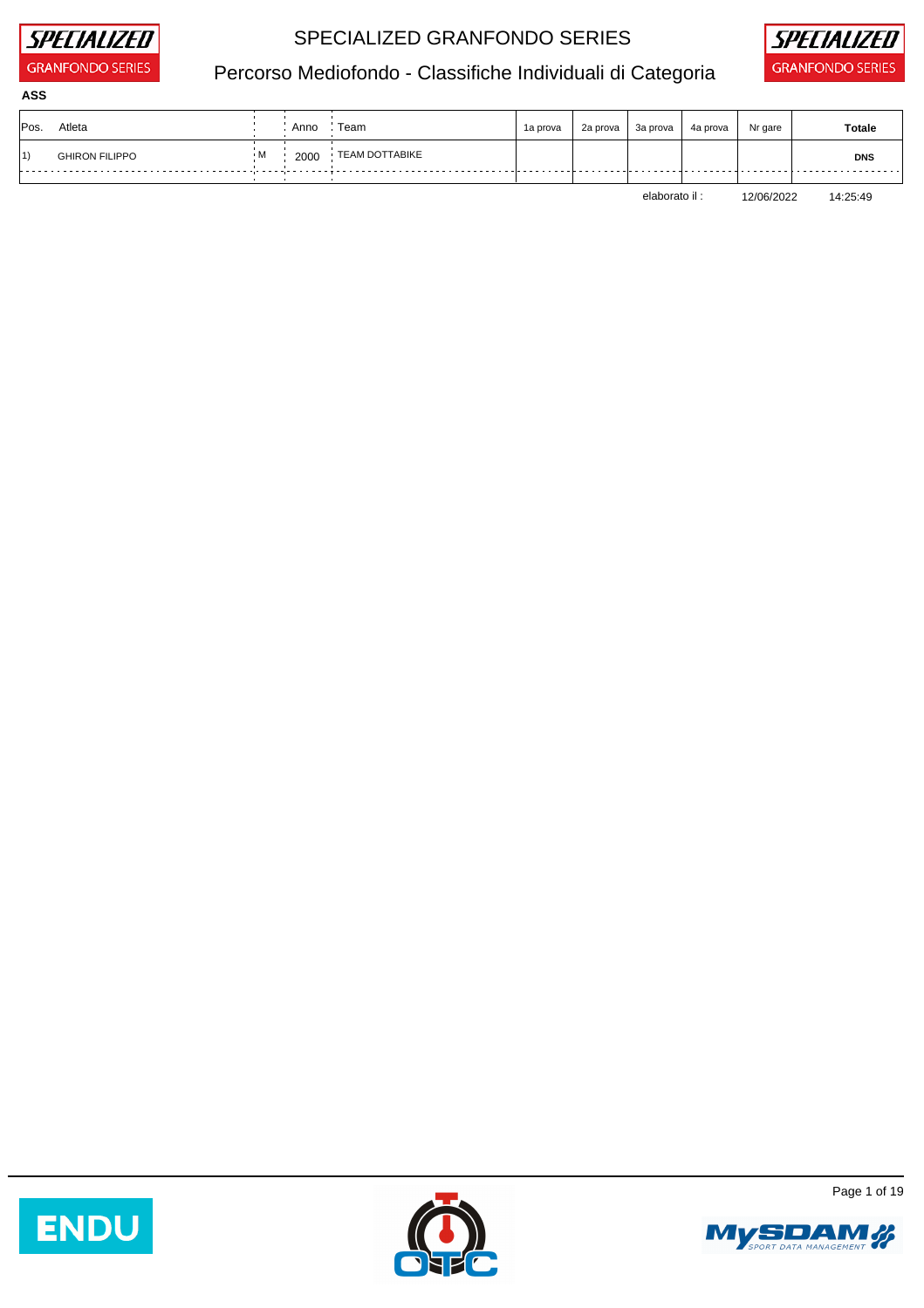

**ASS**

### SPECIALIZED GRANFONDO SERIES **SPECIALIZED**



## Percorso Mediofondo - Classifiche Individuali di Categoria **GRANFONDO SERIES**

| Pos.        | Atleta                |   | Anno | Team           | 1a prova | 2a prova | 3a prova | 4a prova | Nr gare | <b>Totale</b> |
|-------------|-----------------------|---|------|----------------|----------|----------|----------|----------|---------|---------------|
| $ 1\rangle$ | <b>GHIRON FILIPPO</b> | M | 2000 | TEAM DOTTABIKE | .        |          | .        |          |         | <b>DNS</b>    |
|             |                       |   |      |                |          |          |          |          |         |               |

elaborato il : 12/06/2022 14:25:49







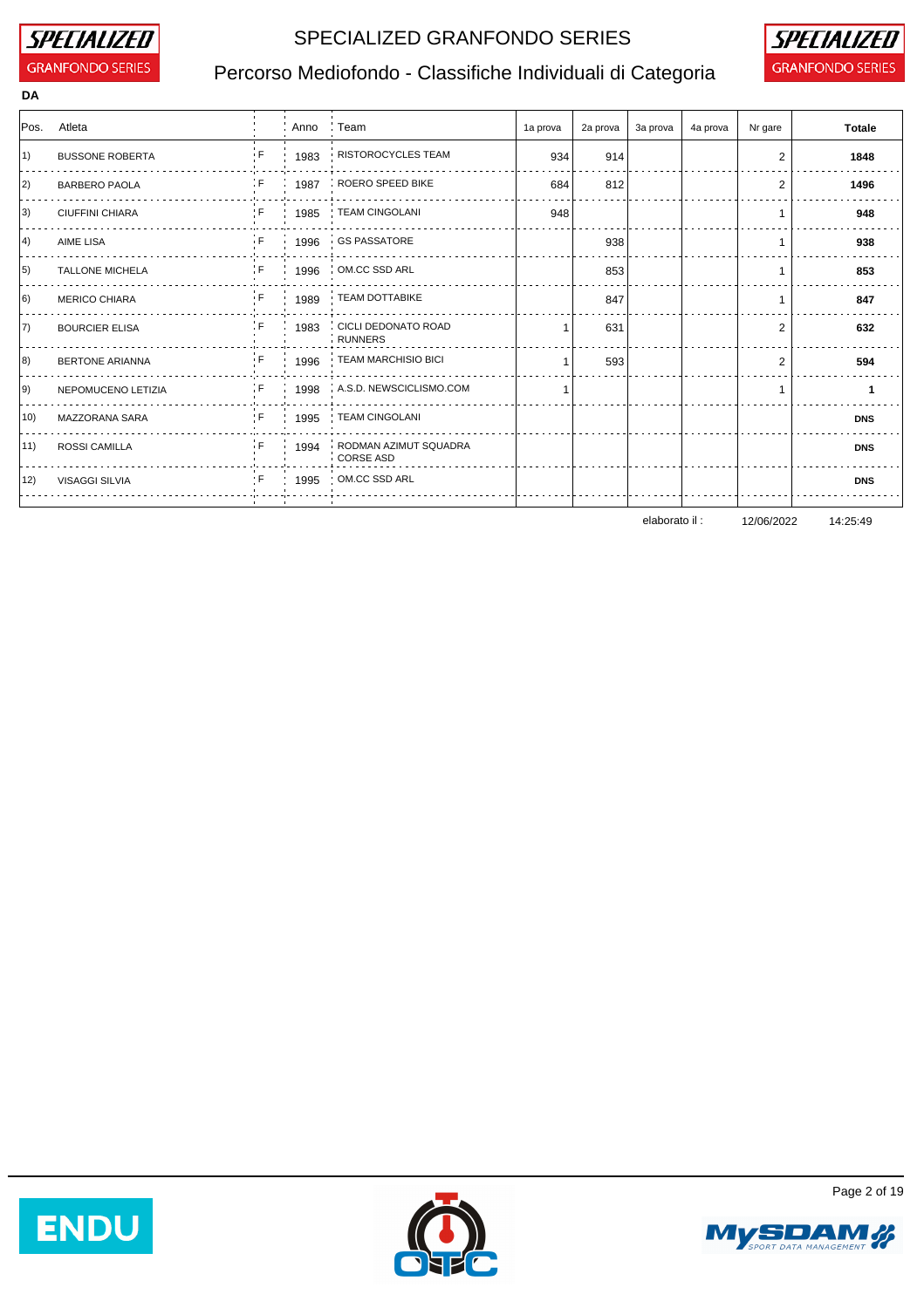

**DA**

### SPECIALIZED GRANFONDO SERIES **SPECIALIZED**



## Percorso Mediofondo - Classifiche Individuali di Categoria **GRANFONDO SERIES**

|              | Pos. Atleta            |           | Anno Team |                                         | 1a prova | 2a prova $ $ | 3a prova | 4a prova | Nr gare        | <b>Totale</b> |
|--------------|------------------------|-----------|-----------|-----------------------------------------|----------|--------------|----------|----------|----------------|---------------|
| 1)           | <b>BUSSONE ROBERTA</b> | ۰F        |           | 1983   RISTOROCYCLES TEAM               | 934      | 914          |          |          | $\overline{2}$ | 1848          |
| 2)           | <b>BARBERO PAOLA</b>   | ÷F        |           | 1987 ROERO SPEED BIKE                   | 684      | 812          |          |          | 2              | 1496          |
| 3)           | <b>CIUFFINI CHIARA</b> | : F       |           | 1985   TEAM CINGOLANI                   | 948      |              |          |          |                | 948           |
| 4)           | AIME LISA              | ÷Ε        |           | 1996 GS PASSATORE                       |          | 938          |          |          |                | 938           |
| 5)           | <b>TALLONE MICHELA</b> | ÷Ε.       |           | 1996 OM.CC SSD ARL                      |          | 853          |          |          |                | 853           |
| 6)           | <b>MERICO CHIARA</b>   | $\cdot$ F |           | 1989 : TEAM DOTTABIKE                   |          | 847          |          |          |                | 847           |
| 7)           | <b>BOURCIER ELISA</b>  | ÷F.       |           | 1983 CICLI DEDONATO ROAD<br>RUNNERS     |          | 631          |          |          | $\overline{2}$ | 632           |
| 8)           | <b>BERTONE ARIANNA</b> | ÷Ε        |           | 1996 TEAM MARCHISIO BICI                |          | 593          |          |          | $\overline{2}$ | 594           |
| 9)           | NEPOMUCENO LETIZIA     | ÷F        |           | 1998 A.S.D. NEWSCICLISMO.COM            |          |              |          |          |                |               |
| $ 10\rangle$ | MAZZORANA SARA         | ⊹F        |           | 1995   TEAM CINGOLANI                   |          |              |          |          |                | <b>DNS</b>    |
| $ 11\rangle$ | <b>ROSSI CAMILLA</b>   | ÷F.       |           | 1994 RODMAN AZIMUT SQUADRA<br>CORSE ASD |          |              |          |          |                | <b>DNS</b>    |
| 12)          | <b>VISAGGI SILVIA</b>  | ∶F.       |           | 1995   OM.CC SSD ARL                    |          |              |          |          |                | <b>DNS</b>    |
|              |                        |           |           |                                         |          |              |          |          |                |               |

elaborato il : 12/06/2022 14:25:49







Page 2 of 19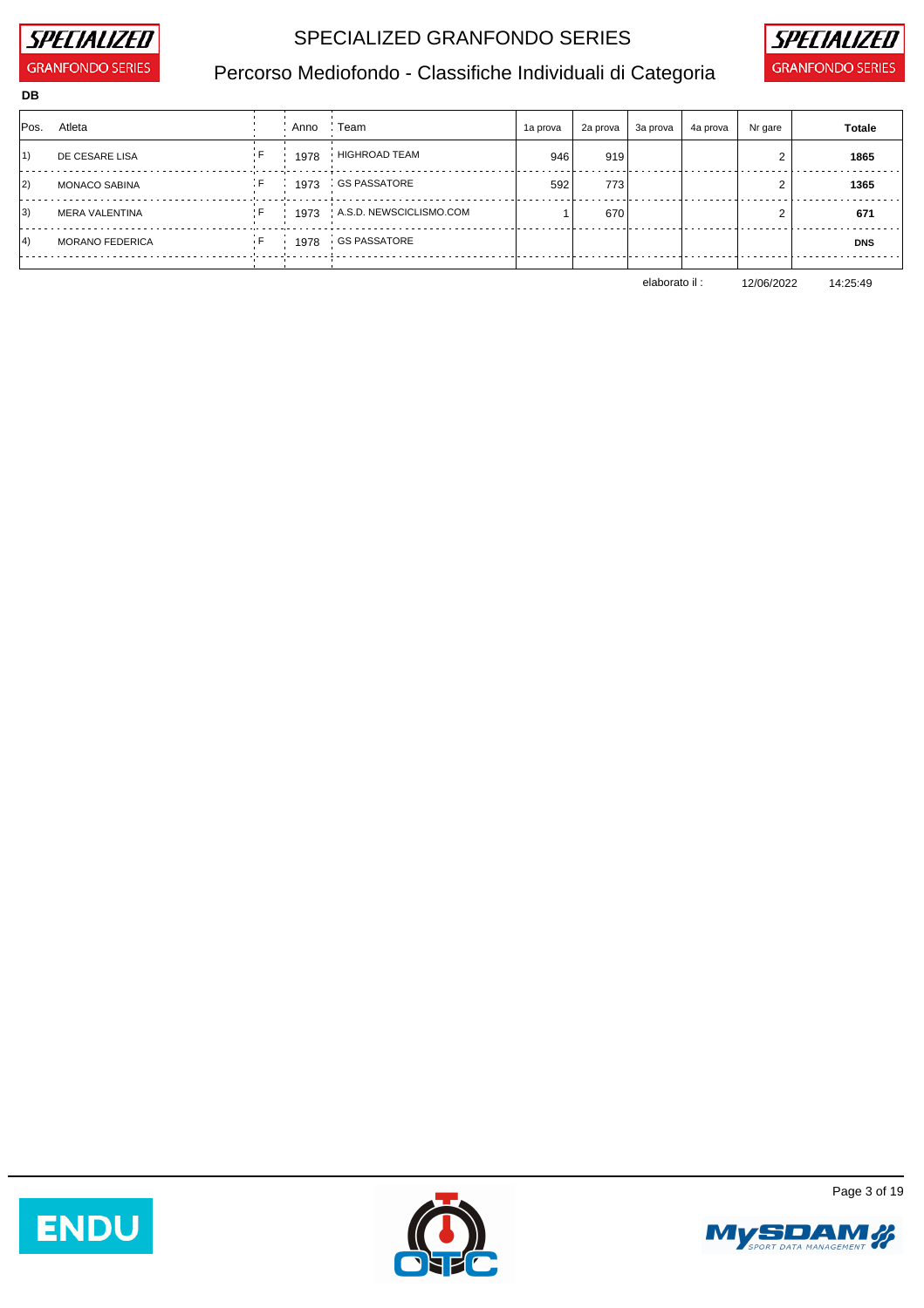

**DB**

## SPECIALIZED GRANFONDO SERIES **SPECIALIZED**



#### **GRANFONDO SERIES**

## Percorso Mediofondo - Classifiche Individuali di Categoria **GRANFONDO SERIES**

| Pos.        | Atleta                 |     | Anno | Team                    | 1a prova | 2a prova | 3a prova | 4a prova | Nr gare | <b>Totale</b> |
|-------------|------------------------|-----|------|-------------------------|----------|----------|----------|----------|---------|---------------|
| $ 1\rangle$ | DE CESARE LISA         |     | 1978 | <b>HIGHROAD TEAM</b>    | 946      | 919      |          |          |         | 1865          |
| 2)          | <b>MONACO SABINA</b>   | i H | 1973 | GS PASSATORE            | 592      | 773      |          |          | ົ       | 1365          |
| $ 3\rangle$ | MERA VALENTINA         |     | 1973 | A.S.D. NEWSCICLISMO.COM |          | 670      |          |          | ົ       | 671           |
| $ 4\rangle$ | <b>MORANO FEDERICA</b> |     | 1978 | <b>GS PASSATORE</b>     |          |          |          |          |         | <b>DNS</b>    |
|             |                        |     |      |                         |          |          |          |          |         |               |

elaborato il : 12/06/2022 14:25:49







Page 3 of 19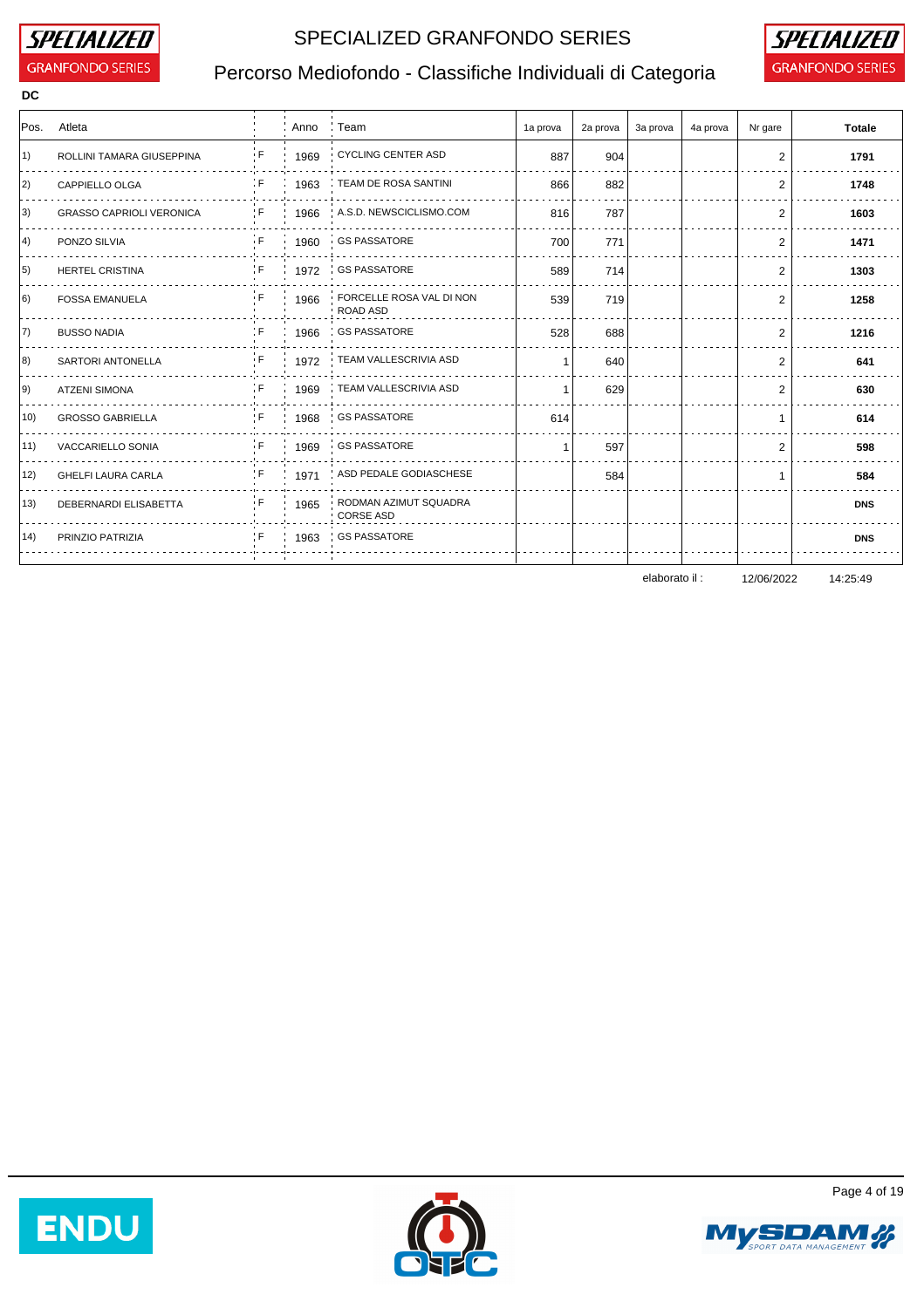

**DC**

### SPECIALIZED GRANFONDO SERIES **SPECIALIZED**



## Percorso Mediofondo - Classifiche Individuali di Categoria **GRANFONDO SERIES**

| Pos.              | Atleta                          |      | Anno | ∴ Team                                      | 1a prova     | 2a prova | 3a prova | 4a prova | Nr gare        | <b>Totale</b> |
|-------------------|---------------------------------|------|------|---------------------------------------------|--------------|----------|----------|----------|----------------|---------------|
| 1)                | ROLLINI TAMARA GIUSEPPINA       | ٠F   |      | 1969 : CYCLING CENTER ASD                   | 887          | 904      |          |          | $\overline{2}$ | 1791          |
| 2)                | CAPPIELLO OLGA                  | ÷Е.  | 1963 | TEAM DE ROSA SANTINI                        | 866          | 882      |          |          | 2              | 1748          |
| $ 3\rangle$       | <b>GRASSO CAPRIOLI VERONICA</b> | ∶F.  |      | 1966 A.S.D. NEWSCICLISMO.COM                | 816          | 787      |          |          | $\overline{2}$ | 1603          |
| $ 4\rangle$       | PONZO SILVIA                    | ίF.  |      | 1960 GS PASSATORE                           | 700          | 771      |          |          | $\overline{2}$ | 1471          |
| $\vert 5 \rangle$ | HERTEL CRISTINA                 | ίF.  |      | 1972 GS PASSATORE                           | 589          | 714      |          |          | $\overline{2}$ | 1303          |
| 6)                | <b>FOSSA EMANUELA</b>           | ٠F.  |      | 1966 FORCELLE ROSA VAL DI NON<br>⋅ ROAD ASD | 539          | 719      |          |          | $\overline{2}$ | 1258          |
| 7)                | <b>BUSSO NADIA</b>              | :F   | 1966 | <b>GS PASSATORE</b>                         | 528          | 688      |          |          | $\overline{2}$ | 1216          |
| $ 8\rangle$       | <b>SARTORI ANTONELLA</b>        | ∘F.  |      | 1972 : TEAM VALLESCRIVIA ASD                | $\mathbf{1}$ | 640      |          |          | $\overline{2}$ | 641           |
| 9)                | <b>ATZENI SIMONA</b>            | ÷Е.  | 1969 | TEAM VALLESCRIVIA ASD                       | 1            | 629      |          |          | $\overline{2}$ | 630           |
| $ 10\rangle$      | <b>GROSSO GABRIELLA</b>         | ۰F   |      | 1968   GS PASSATORE                         | 614          |          |          |          | $\mathbf 1$    | 614           |
| $ 11\rangle$      | VACCARIELLO SONIA               | ÷Ε.  |      | 1969 GS PASSATORE                           | $\mathbf{1}$ | 597      |          |          | $\overline{2}$ | 598           |
| 12)               | <b>GHELFI LAURA CARLA</b>       | ¦ Fi |      | 1971 ASD PEDALE GODIASCHESE                 |              | 584      |          |          | 1              | 584           |
| $ 13\rangle$      | DEBERNARDI ELISABETTA           | i F. |      | 1965 RODMAN AZIMUT SQUADRA<br>CORSE ASD     |              |          |          |          |                | <b>DNS</b>    |
| $ 14\rangle$      | PRINZIO PATRIZIA                | ¦F.  |      | 1963 GS PASSATORE                           |              |          |          |          |                | <b>DNS</b>    |

elaborato il : 12/06/2022 14:25:49







Page 4 of 19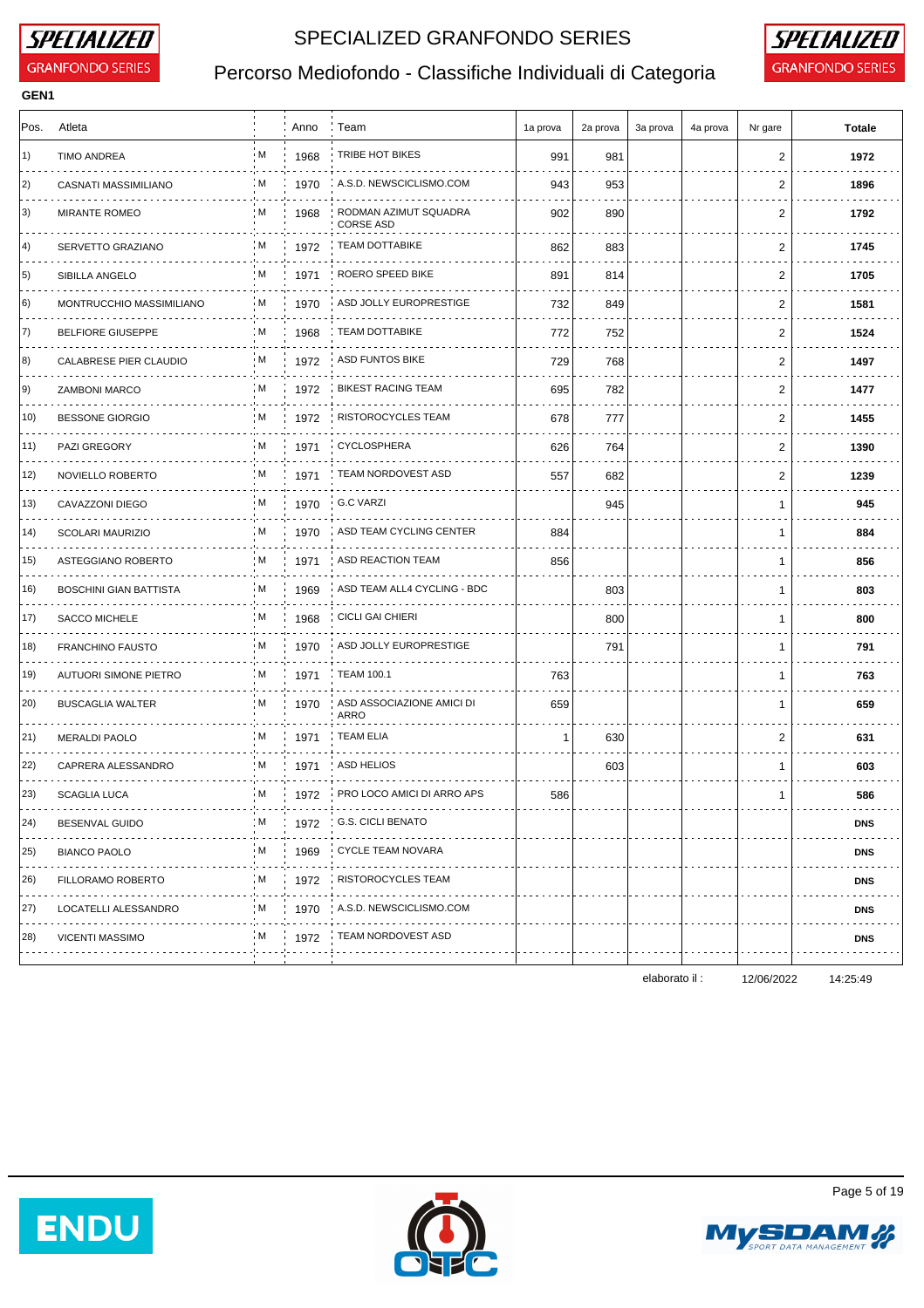

**GEN1**

## SPECIALIZED GRANFONDO SERIES **SPECIALIZED**



# Percorso Mediofondo - Classifiche Individuali di Categoria **GRANFONDO SERIES**

| Pos.         | Atleta                             |     | Anno | Team                                      | 1a prova     | 2a prova | 3a prova | 4a prova | Nr gare        | Totale     |
|--------------|------------------------------------|-----|------|-------------------------------------------|--------------|----------|----------|----------|----------------|------------|
| 1)           | <b>TIMO ANDREA</b>                 | м   | 1968 | TRIBE HOT BIKES                           | 991          | 981      |          |          | 2              | 1972       |
| 2)           | CASNATI MASSIMILIANO               | : M | 1970 | A.S.D. NEWSCICLISMO.COM                   | 943          | 953      |          |          | 2              | 1896       |
| 3)           | <b>MIRANTE ROMEO</b>               | : M | 1968 | RODMAN AZIMUT SQUADRA<br><b>CORSE ASD</b> | 902          | 890      |          |          | 2              | 1792       |
| 4)           | SERVETTO GRAZIANO                  | . M | 1972 | <b>TEAM DOTTABIKE</b>                     | 862          | 883      |          |          | $\overline{2}$ | 1745       |
| 5)           | SIBILLA ANGELO                     | м   | 1971 | ROERO SPEED BIKE                          | 891          | 814      |          |          | $\overline{2}$ | 1705       |
| 6)           | .<br>MONTRUCCHIO MASSIMILIANO<br>. | м   | 1970 | ASD JOLLY EUROPRESTIGE                    | 732          | 849      |          |          | 2              | 1581       |
| 7)           | <b>BELFIORE GIUSEPPE</b>           | ; M | 1968 | <b>TEAM DOTTABIKE</b>                     | 772          | 752      |          |          | 2              | 1524       |
| 8)           | .<br>CALABRESE PIER CLAUDIO        | ۰M  | 1972 | ASD FUNTOS BIKE                           | 729          | 768      |          |          | 2              | 1497       |
| 9)           | <b>ZAMBONI MARCO</b>               | : M | 1972 | <b>BIKEST RACING TEAM</b>                 | 695          | 782      |          |          | 2              | 1477       |
| 10)          | <b>BESSONE GIORGIO</b>             | : M | 1972 | RISTOROCYCLES TEAM                        | 678          | 777      |          |          | 2              | 1455       |
| 11)          | PAZI GREGORY                       | i M | 1971 | CYCLOSPHERA                               | 626          | 764      |          |          | 2              | 1390       |
| 12)          | NOVIELLO ROBERTO                   | : M | 1971 | <b>TEAM NORDOVEST ASD</b>                 | 557          | 682      |          |          | $\overline{2}$ | 1239       |
| 13)          | CAVAZZONI DIEGO                    | ۰M  | 1970 | <b>G.C VARZI</b><br>$\mathcal{A}$         |              | 945      |          |          | 1              | 945        |
| 14)          | SCOLARI MAURIZIO                   | : M | 1970 | ASD TEAM CYCLING CENTER                   | 884          |          |          |          | $\mathbf{1}$   | 884        |
| 15)          | .<br>ASTEGGIANO ROBERTO            | : M | 1971 | ASD REACTION TEAM                         | 856          |          |          |          | $\mathbf{1}$   | 856        |
| 16)          | <b>BOSCHINI GIAN BATTISTA</b>      | ۰M  | 1969 | ASD TEAM ALL4 CYCLING - BDC               |              | 803      |          |          | $\mathbf{1}$   | 803        |
| 17)          | .<br><b>SACCO MICHELE</b>          | ; M | 1968 | <b>CICLI GAI CHIERI</b>                   |              | 800      |          |          | $\mathbf{1}$   | 800        |
| 18)          | <b>FRANCHINO FAUSTO</b>            | ۰M  | 1970 | ASD JOLLY EUROPRESTIGE                    |              | 791      |          |          | $\mathbf{1}$   | 791        |
| 19)          | <b>AUTUORI SIMONE PIETRO</b><br>.  | : M | 1971 | TEAM 100.1                                | 763          |          |          |          | $\mathbf{1}$   | 763        |
| (20)         | <b>BUSCAGLIA WALTER</b>            | м   | 1970 | ASD ASSOCIAZIONE AMICI DI<br><b>ARRO</b>  | 659          |          |          |          | 1              | 659        |
| $ 21\rangle$ | <b>MERALDI PAOLO</b><br>.          | : M | 1971 | <b>TEAM ELIA</b>                          | $\mathbf{1}$ | 630      |          |          | $\overline{2}$ | 631        |
| 22)          | CAPRERA ALESSANDRO                 | : M | 1971 | ASD HELIOS                                |              | 603      |          |          | -1             | 603        |
| 23)          | <b>SCAGLIA LUCA</b>                | ۰M  |      | 1972 PRO LOCO AMICI DI ARRO APS           | 586          |          |          |          | -1             | 586        |
| 24)          | BESENVAL GUIDO                     | , M | 1972 | G.S. CICLI BENATO                         |              |          |          |          |                | <b>DNS</b> |
| 25)          | <b>BIANCO PAOLO</b>                | м   | 1969 | CYCLE TEAM NOVARA                         |              |          |          |          |                | <b>DNS</b> |
| 26)          | <b>FILLORAMO ROBERTO</b>           | i M | 1972 | RISTOROCYCLES TEAM                        |              |          |          |          |                | <b>DNS</b> |
| 27)          | LOCATELLI ALESSANDRO<br>.          | м   | 1970 | A.S.D. NEWSCICLISMO.COM                   |              |          |          |          |                | <b>DNS</b> |
| 28)          | <b>VICENTI MASSIMO</b>             | ۰M  | 1972 | <b>TEAM NORDOVEST ASD</b>                 |              |          |          |          |                | <b>DNS</b> |







Page 5 of 19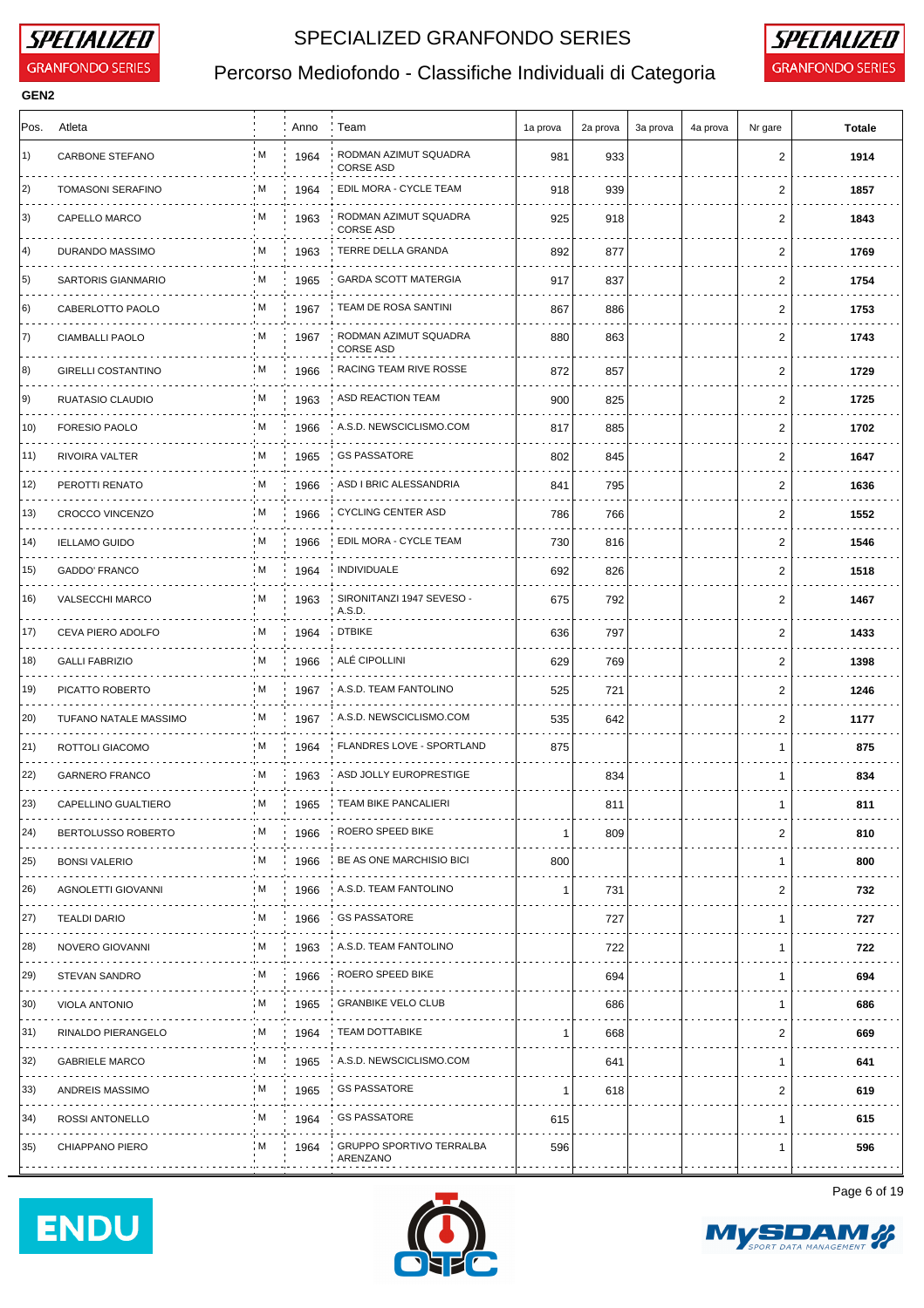

**GEN2**

## SPECIALIZED GRANFONDO SERIES **SPECIALIZED**



# Percorso Mediofondo - Classifiche Individuali di Categoria **GRANFONDO SERIES**

| Pos.         | Atleta                         |     | Anno | : Team                                                                                                                                                                                                                                                                                                                                                                                                                                                                                                          | 1a prova     | 2a prova | 3a prova | 4a prova | Nr gare      | Totale |
|--------------|--------------------------------|-----|------|-----------------------------------------------------------------------------------------------------------------------------------------------------------------------------------------------------------------------------------------------------------------------------------------------------------------------------------------------------------------------------------------------------------------------------------------------------------------------------------------------------------------|--------------|----------|----------|----------|--------------|--------|
| 1)           | <b>CARBONE STEFANO</b>         | M   | 1964 | RODMAN AZIMUT SQUADRA<br><b>CORSE ASD</b>                                                                                                                                                                                                                                                                                                                                                                                                                                                                       | 981          | 933      |          |          | 2            | 1914   |
| 2)           | <b>TOMASONI SERAFINO</b>       | ¦ M | 1964 | EDIL MORA - CYCLE TEAM                                                                                                                                                                                                                                                                                                                                                                                                                                                                                          | 918          | 939      |          |          | 2            | 1857   |
| 3)           | CAPELLO MARCO                  | M   | 1963 | RODMAN AZIMUT SQUADRA<br><b>CORSE ASD</b>                                                                                                                                                                                                                                                                                                                                                                                                                                                                       | 925          | 918      |          |          | 2            | 1843   |
| 4)           | DURANDO MASSIMO                | ; M | 1963 | TERRE DELLA GRANDA                                                                                                                                                                                                                                                                                                                                                                                                                                                                                              | 892          | 877      |          |          | 2            | 1769   |
| 5)           | <b>SARTORIS GIANMARIO</b><br>. | ۰M  | 1965 | <b>GARDA SCOTT MATERGIA</b>                                                                                                                                                                                                                                                                                                                                                                                                                                                                                     | 917          | 837      |          |          | 2            | 1754   |
| 6)           | CABERLOTTO PAOLO               | : M | 1967 | TEAM DE ROSA SANTINI                                                                                                                                                                                                                                                                                                                                                                                                                                                                                            | 867          | 886      |          |          | 2            | 1753   |
| 7)           | <b>CIAMBALLI PAOLO</b>         | M   | 1967 | RODMAN AZIMUT SQUADRA<br><b>CORSE ASD</b>                                                                                                                                                                                                                                                                                                                                                                                                                                                                       | 880          | 863      |          |          | 2            | 1743   |
| 8)           | <b>GIRELLI COSTANTINO</b>      | : M | 1966 | RACING TEAM RIVE ROSSE                                                                                                                                                                                                                                                                                                                                                                                                                                                                                          | 872          | 857      |          |          | 2            | 1729   |
| 9)           | RUATASIO CLAUDIO               | M   | 1963 | ASD REACTION TEAM                                                                                                                                                                                                                                                                                                                                                                                                                                                                                               | 900          | 825      |          |          | 2            | 1725   |
| 10)          | <b>FORESIO PAOLO</b>           | : M | 1966 | A.S.D. NEWSCICLISMO.COM                                                                                                                                                                                                                                                                                                                                                                                                                                                                                         | 817          | 885      |          |          | 2            | 1702   |
| 11)          | RIVOIRA VALTER                 | ; M | 1965 | <b>GS PASSATORE</b>                                                                                                                                                                                                                                                                                                                                                                                                                                                                                             | 802          | 845      |          |          | 2            | 1647   |
| 12)          | PEROTTI RENATO                 | ۰M  | 1966 | ASD I BRIC ALESSANDRIA                                                                                                                                                                                                                                                                                                                                                                                                                                                                                          | 841          | 795      |          |          | 2            | 1636   |
| 13)          | <b>CROCCO VINCENZO</b>         | : M | 1966 | <b>CYCLING CENTER ASD</b>                                                                                                                                                                                                                                                                                                                                                                                                                                                                                       | 786          | 766      |          |          | 2            | 1552   |
| 14)          | <b>IELLAMO GUIDO</b>           | : M | 1966 | EDIL MORA - CYCLE TEAM                                                                                                                                                                                                                                                                                                                                                                                                                                                                                          | 730          | 816      |          |          | 2            | 1546   |
| 15)          | GADDO' FRANCO                  | . M | 1964 | INDIVIDUALE                                                                                                                                                                                                                                                                                                                                                                                                                                                                                                     | 692          | 826      |          |          | 2            | 1518   |
| 16)          | VALSECCHI MARCO                | 'M  | 1963 | SIRONITANZI 1947 SEVESO -<br>A.S.D.                                                                                                                                                                                                                                                                                                                                                                                                                                                                             | 675          | 792      |          |          | 2            | 1467   |
| 17)          | CEVA PIERO ADOLFO              | i M | 1964 | <b>DTBIKE</b>                                                                                                                                                                                                                                                                                                                                                                                                                                                                                                   | 636          | 797      |          |          | 2            | 1433   |
| 18)          | <b>GALLI FABRIZIO</b>          | : M | 1966 | ALÉ CIPOLLINI                                                                                                                                                                                                                                                                                                                                                                                                                                                                                                   | 629          | 769      |          |          | 2            | 1398   |
| 19)          | PICATTO ROBERTO                | ۰M  | 1967 | A.S.D. TEAM FANTOLINO                                                                                                                                                                                                                                                                                                                                                                                                                                                                                           | 525          | 721      |          |          | 2            | 1246   |
| 20)          | .<br>TUFANO NATALE MASSIMO     | : M | 1967 | A.S.D. NEWSCICLISMO.COM                                                                                                                                                                                                                                                                                                                                                                                                                                                                                         | 535          | 642      |          |          | 2            | 1177   |
| $ 21\rangle$ | ROTTOLI GIACOMO                | : M | 1964 | FLANDRES LOVE - SPORTLAND                                                                                                                                                                                                                                                                                                                                                                                                                                                                                       | 875          |          |          |          | $\mathbf{1}$ | 875    |
| 22)          | <b>GARNERO FRANCO</b>          | ۰M  | 1963 | ASD JOLLY EUROPRESTIGE                                                                                                                                                                                                                                                                                                                                                                                                                                                                                          |              | 834      |          |          | $\mathbf{1}$ | 834    |
| (23)         | CAPELLINO GUALTIERO            | : M | 1965 | : TEAM BIKE PANCALIERI                                                                                                                                                                                                                                                                                                                                                                                                                                                                                          |              | 811      |          |          | 1            | 811    |
| 24)          | <b>BERTOLUSSO ROBERTO</b>      | ۰M  | 1966 | ROERO SPEED BIKE                                                                                                                                                                                                                                                                                                                                                                                                                                                                                                | 1            | 809      |          |          | 2            | 810    |
| 25)          | <b>BONSI VALERIO</b>           | ; M | 1966 | BE AS ONE MARCHISIO BICI                                                                                                                                                                                                                                                                                                                                                                                                                                                                                        | 800          |          |          |          | 1            | 800    |
| 26)          | .<br><b>AGNOLETTI GIOVANNI</b> | M   | 1966 | A.S.D. TEAM FANTOLINO                                                                                                                                                                                                                                                                                                                                                                                                                                                                                           | $\mathbf{1}$ | 731      |          |          | 2            | 732    |
| 27)          | <b>TEALDI DARIO</b><br>.       | · M | 1966 | <b>GS PASSATORE</b>                                                                                                                                                                                                                                                                                                                                                                                                                                                                                             |              | 727      |          |          | -1           | 727    |
| 28)          | NOVERO GIOVANNI                | ; M | 1963 | $\begin{array}{cccccccccccccc} \multicolumn{2}{c}{} & \multicolumn{2}{c}{} & \multicolumn{2}{c}{} & \multicolumn{2}{c}{} & \multicolumn{2}{c}{} & \multicolumn{2}{c}{} & \multicolumn{2}{c}{} & \multicolumn{2}{c}{} & \multicolumn{2}{c}{} & \multicolumn{2}{c}{} & \multicolumn{2}{c}{} & \multicolumn{2}{c}{} & \multicolumn{2}{c}{} & \multicolumn{2}{c}{} & \multicolumn{2}{c}{} & \multicolumn{2}{c}{} & \multicolumn{2}{c}{} & \multicolumn{2}{c}{} & \multicolumn{2}{c}{} & \$<br>A.S.D. TEAM FANTOLINO |              | 722      |          |          | $\mathbf{1}$ | 722    |
| 29)          | STEVAN SANDRO                  | M   | 1966 | ROERO SPEED BIKE                                                                                                                                                                                                                                                                                                                                                                                                                                                                                                |              | 694      |          |          | -1           | 694    |
| 30)          | <b>VIOLA ANTONIO</b>           | : M | 1965 | <b>GRANBIKE VELO CLUB</b>                                                                                                                                                                                                                                                                                                                                                                                                                                                                                       |              | 686      |          |          | $\mathbf 1$  | 686    |
| 31)          | RINALDO PIERANGELO             | M   | 1964 | <b>TEAM DOTTABIKE</b>                                                                                                                                                                                                                                                                                                                                                                                                                                                                                           | 1            | 668      |          |          | 2            | 669    |
| 32)          | <b>GABRIELE MARCO</b>          | . M | 1965 | A.S.D. NEWSCICLISMO.COM                                                                                                                                                                                                                                                                                                                                                                                                                                                                                         |              | 641      |          |          | 1            | 641    |
| 33)          | ANDREIS MASSIMO                | M   | 1965 | <b>GS PASSATORE</b>                                                                                                                                                                                                                                                                                                                                                                                                                                                                                             | 1            | 618      |          |          | 2            | 619    |
| 34)          | ROSSI ANTONELLO                | ۰M  | 1964 | <b>GS PASSATORE</b>                                                                                                                                                                                                                                                                                                                                                                                                                                                                                             | 615          |          |          |          | -1           | 615    |
| 35)          | <b>CHIAPPANO PIERO</b>         | : M | 1964 | <b>GRUPPO SPORTIVO TERRALBA</b><br>ARENZANO                                                                                                                                                                                                                                                                                                                                                                                                                                                                     | 596          |          |          |          | -1           | 596    |
|              |                                |     |      |                                                                                                                                                                                                                                                                                                                                                                                                                                                                                                                 |              |          |          |          |              |        |







Page 6 of 19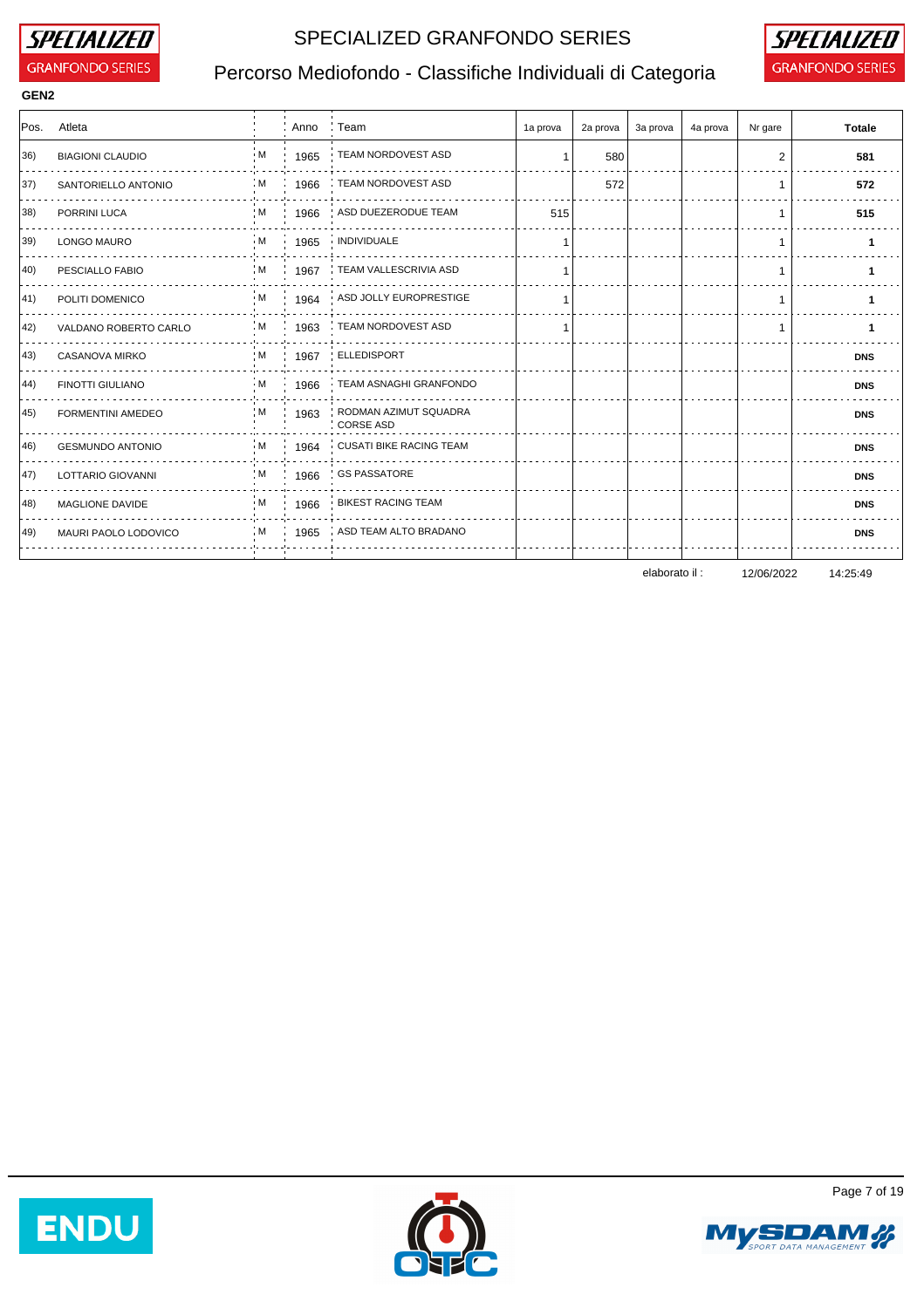

**GEN2**

### SPECIALIZED GRANFONDO SERIES **SPECIALIZED**



# Percorso Mediofondo - Classifiche Individuali di Categoria **GRANFONDO SERIES**

|     | Pos. Atleta              |     | Anno Feam |                                               | 1a prova | 2a prova | 3a prova | 4a prova | Nr gare | <b>Totale</b> |
|-----|--------------------------|-----|-----------|-----------------------------------------------|----------|----------|----------|----------|---------|---------------|
| 36) | <b>BIAGIONI CLAUDIO</b>  | · M |           | 1965 TEAM NORDOVEST ASD                       |          | 580      |          |          | 2       | 581           |
| 37) | SANTORIELLO ANTONIO      |     |           | M 1966 TEAM NORDOVEST ASD                     |          | 572      |          |          |         | 572           |
| 38) | PORRINI LUCA             |     |           | M : 1966 ASD DUEZERODUE TEAM                  | 515      |          |          |          |         | 515           |
| 39) | <b>LONGO MAURO</b>       |     |           | M 1965 INDIVIDUALE                            |          |          |          |          |         | 1             |
| 40) | PESCIALLO FABIO          |     |           | M 1967 TEAM VALLESCRIVIA ASD                  |          |          |          |          |         |               |
| 41) | POLITI DOMENICO          |     |           | M 1964 ASD JOLLY EUROPRESTIGE                 |          |          |          |          |         | 1             |
| 42) | VALDANO ROBERTO CARLO    |     |           | M 1963 TEAM NORDOVEST ASD                     |          |          |          |          |         | 1             |
| 43) | <b>CASANOVA MIRKO</b>    |     |           | M 1967 ELLEDISPORT                            |          |          |          |          |         | <b>DNS</b>    |
| 44) | <b>FINOTTI GIULIANO</b>  |     |           | M 1966 TEAM ASNAGHI GRANFONDO                 |          |          |          |          |         | <b>DNS</b>    |
| 45) | <b>FORMENTINI AMEDEO</b> |     |           | M   1963   RODMAN AZIMUT SQUADRA<br>CORSE ASD |          |          |          |          |         | <b>DNS</b>    |
| 46) | <b>GESMUNDO ANTONIO</b>  |     |           | M 1964 CUSATI BIKE RACING TEAM                |          |          |          |          |         | <b>DNS</b>    |
| 47) | LOTTARIO GIOVANNI        |     |           | M   1966   GS PASSATORE                       |          |          |          |          |         | <b>DNS</b>    |
| 48) | <b>MAGLIONE DAVIDE</b>   |     |           | M 1966 BIKEST RACING TEAM                     |          |          |          |          |         | <b>DNS</b>    |
| 49) | MAURI PAOLO LODOVICO     |     |           | $\mathsf{M}$   1965   ASD TEAM ALTO BRADANO   |          |          |          |          |         | <b>DNS</b>    |

elaborato il : 12/06/2022 14:25:49







Page 7 of 19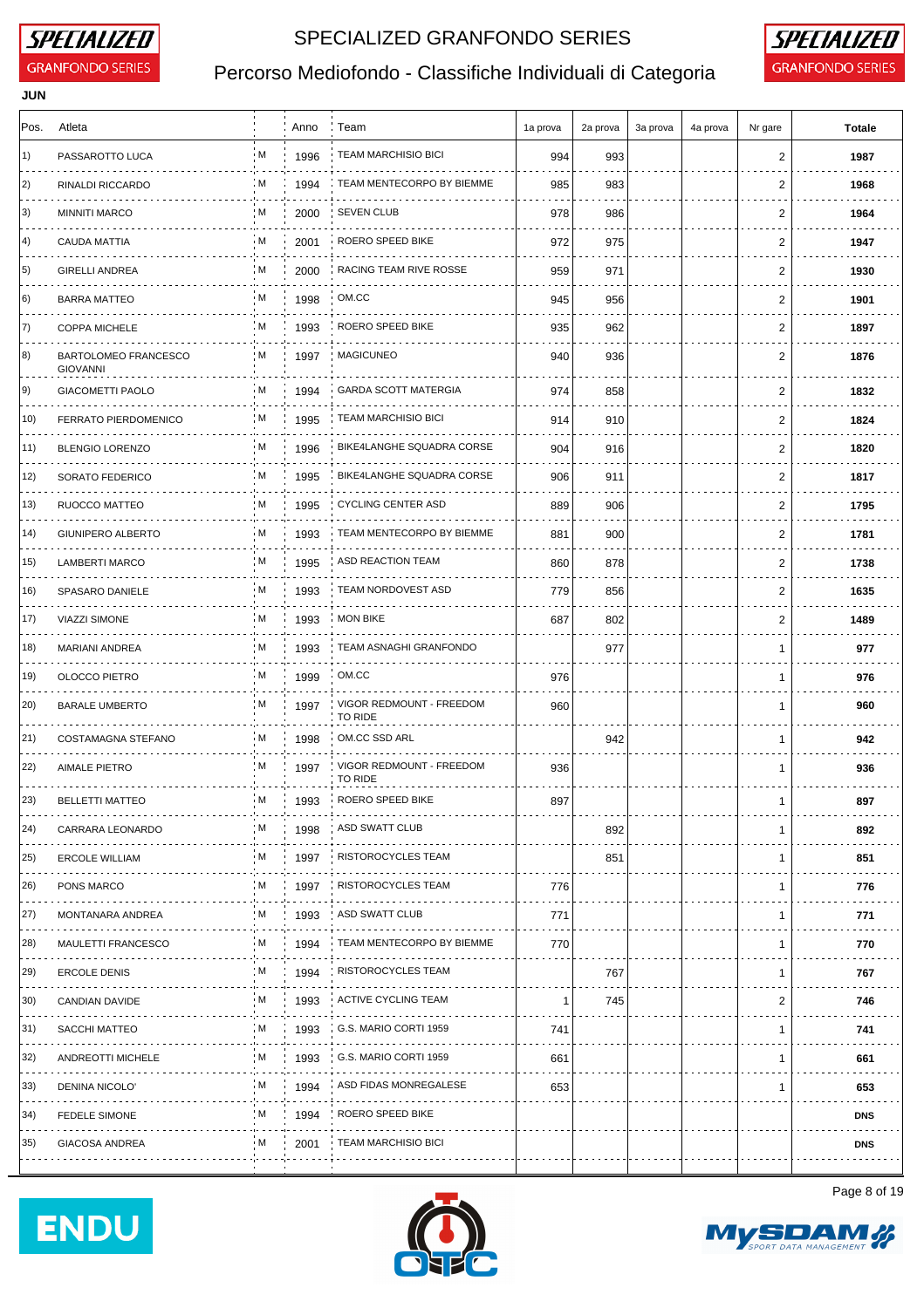

**JUN**

## SPECIALIZED GRANFONDO SERIES **SPECIALIZED**



# Percorso Mediofondo - Classifiche Individuali di Categoria **GRANFONDO SERIES**

| Pos.                 | Atleta                                       |     | Anno | : Team                              | 1a prova | 2a prova | 3a prova | 4a prova | Nr gare        | <b>Totale</b> |
|----------------------|----------------------------------------------|-----|------|-------------------------------------|----------|----------|----------|----------|----------------|---------------|
| 1)                   | PASSAROTTO LUCA                              | M   | 1996 | <b>TEAM MARCHISIO BICI</b>          | 994      | 993      |          |          | $\overline{2}$ | 1987          |
| 2)                   | RINALDI RICCARDO                             | : M | 1994 | TEAM MENTECORPO BY BIEMME           | 985      | 983      |          |          | 2              | 1968          |
| 3)                   | <b>MINNITI MARCO</b>                         | : M | 2000 | <b>SEVEN CLUB</b>                   | 978      | 986      |          |          | 2              | 1964          |
| 4)                   | CAUDA MATTIA                                 | M   | 2001 | ROERO SPEED BIKE                    | 972      | 975      |          |          | 2              | 1947          |
| 5)                   | GIRELLI ANDREA                               | : M | 2000 | RACING TEAM RIVE ROSSE              | 959      | 971      |          |          | 2              | 1930          |
| 6)                   | <b>BARRA MATTEO</b>                          | : M | 1998 | OM.CC                               | 945      | 956      |          |          | 2              | 1901          |
| 7)                   | <b>COPPA MICHELE</b>                         | : M | 1993 | ROERO SPEED BIKE                    | 935      | 962      |          |          | 2              | 1897          |
| 8)                   | .<br>BARTOLOMEO FRANCESCO<br><b>GIOVANNI</b> | м   | 1997 | <b>MAGICUNEO</b>                    | 940      | 936      |          |          | 2              | 1876          |
| 9)                   | GIACOMETTI PAOLO                             | ۰M  | 1994 | <b>GARDA SCOTT MATERGIA</b>         | 974      | 858      |          |          | $\overline{2}$ | 1832          |
| 10)                  | <b>FERRATO PIERDOMENICO</b>                  | : M | 1995 | <b>TEAM MARCHISIO BICI</b>          | 914      | 910      |          |          | 2              | 1824          |
| 11)                  | <b>BLENGIO LORENZO</b>                       | ۰M  | 1996 | BIKE4LANGHE SQUADRA CORSE           | 904      | 916      |          |          | 2              | 1820          |
| 12)                  | SORATO FEDERICO                              | : M | 1995 | BIKE4LANGHE SQUADRA CORSE           | 906      | 911      |          |          | 2              | 1817          |
| 13)                  | RUOCCO MATTEO                                | : M | 1995 | <b>CYCLING CENTER ASD</b>           | 889      | 906      |          |          | 2              | 1795          |
| 14)                  | GIUNIPERO ALBERTO                            | ٠М  | 1993 | TEAM MENTECORPO BY BIEMME           | 881      | 900      |          |          | 2              | 1781          |
| 15)                  | <b>LAMBERTI MARCO</b>                        | ; M | 1995 | ASD REACTION TEAM                   | 860      | 878      |          |          | 2              | 1738          |
| 16)                  | SPASARO DANIELE                              | ' Μ | 1993 | TEAM NORDOVEST ASD                  | 779      | 856      |          |          | 2              | 1635          |
| 17)                  | <b>VIAZZI SIMONE</b>                         | : M | 1993 | MON BIKE                            | 687      | 802      |          |          | 2              | 1489          |
| 18)                  | <b>MARIANI ANDREA</b>                        | M   | 1993 | TEAM ASNAGHI GRANFONDO              |          | 977      |          |          | 1              | 977           |
| 19)                  | OLOCCO PIETRO                                | i M | 1999 | OM.CC                               | 976      |          |          |          | 1              | 976           |
| 20)                  | <b>BARALE UMBERTO</b>                        | : M | 1997 | VIGOR REDMOUNT - FREEDOM<br>TO RIDE | 960      |          |          |          | $\mathbf{1}$   | 960           |
| 21)                  | COSTAMAGNA STEFANO                           | ٠М  | 1998 | OM.CC SSD ARL                       |          | 942      |          |          | 1              | 942           |
| 22)                  | <b>AIMALE PIETRO</b>                         | ; M | 1997 | VIGOR REDMOUNT - FREEDOM<br>TO RIDE | 936      |          |          |          | 1              | 936           |
| 23)                  | <b>BELLETTI MATTEO</b>                       | : M | 1993 | ROERO SPEED BIKE                    | 897      |          |          |          | $\mathbf{1}$   | 897           |
| 24)                  | CARRARA LEONARDO                             | ; M | 1998 | ASD SWATT CLUB                      |          | 892      |          |          | 1              | 892           |
| 25)                  | <b>ERCOLE WILLIAM</b><br>.                   | ۰M  | 1997 | RISTOROCYCLES TEAM                  |          | 851      |          |          | 1              | 851           |
| 26)                  | PONS MARCO                                   | : M | 1997 | RISTOROCYCLES TEAM                  | 776      |          |          |          | 1              | 776           |
| $\sim$ $\sim$<br>27) | MONTANARA ANDREA<br>.                        | : M | 1993 | ASD SWATT CLUB<br>.                 | 771      |          |          |          | 1              | 771           |
| 28)                  | <b>MAULETTI FRANCESCO</b>                    | i M | 1994 | TEAM MENTECORPO BY BIEMME           | 770      |          |          |          | 1              | 770           |
| 29)                  | <b>ERCOLE DENIS</b>                          | ; M | 1994 | RISTOROCYCLES TEAM                  |          | 767      |          |          | 1              | 767           |
| 30)                  | CANDIAN DAVIDE                               | ' Μ | 1993 | ACTIVE CYCLING TEAM                 | -1       | 745      |          |          | 2              | 746           |
| 31)                  | SACCHI MATTEO                                | : M | 1993 | G.S. MARIO CORTI 1959               | 741      |          |          |          | 1              | 741           |
| 32)                  | ANDREOTTI MICHELE                            | : M | 1993 | G.S. MARIO CORTI 1959               | 661      |          |          |          | 1              | 661           |
| 33)                  | DENINA NICOLO'                               | . M | 1994 | ASD FIDAS MONREGALESE               | 653      |          |          |          | 1              | 653           |
| 34)                  | <b>FEDELE SIMONE</b>                         | ; M | 1994 | ROERO SPEED BIKE                    |          |          |          |          |                | <b>DNS</b>    |
| 35)                  | <b>GIACOSA ANDREA</b>                        | ۰M  | 2001 | ↑ TEAM MARCHISIO BICI               |          |          |          |          |                | <b>DNS</b>    |
|                      |                                              |     |      |                                     |          |          |          |          |                |               |







Page 8 of 19

**MYSDAM**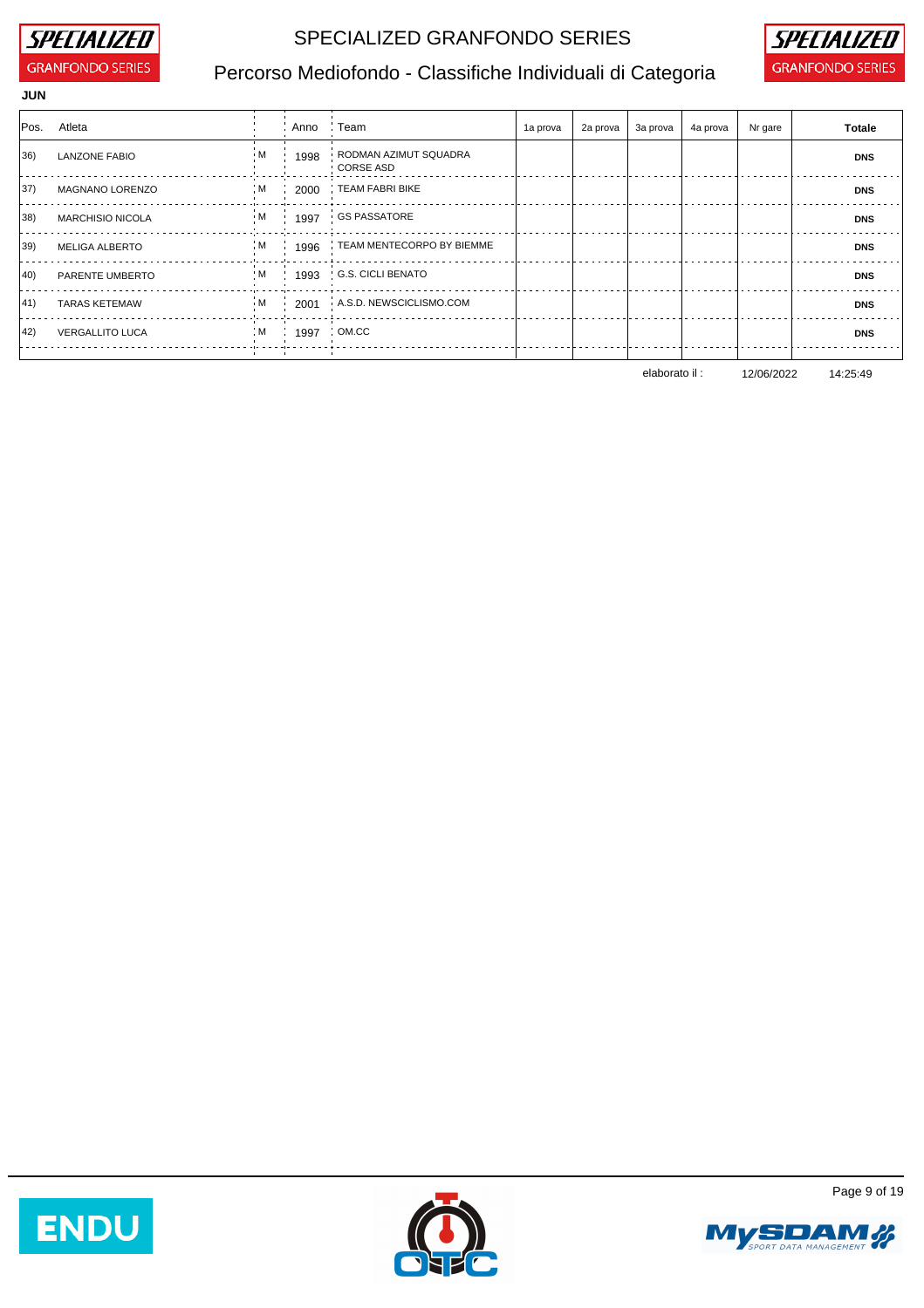

#### SPECIALIZED GRANFONDO SERIES **SPECIALIZED**



## Percorso Mediofondo - Classifiche Individuali di Categoria **GRANFONDO SERIES**

| <b>JUN</b> |  |  |
|------------|--|--|
|            |  |  |

|      | Pos. Atleta             |    | Anno : Team      |                                             | 1a prova | 2a prova | 3a prova | 4a prova | Nr gare | <b>Totale</b> |
|------|-------------------------|----|------------------|---------------------------------------------|----------|----------|----------|----------|---------|---------------|
| 36)  | <b>LANZONE FABIO</b>    | ÷М |                  | 1998 : RODMAN AZIMUT SQUADRA<br>∙ CORSE ASD |          |          |          |          |         | <b>DNS</b>    |
| (37) | <b>MAGNANO LORENZO</b>  | ∴M |                  | 2000 TEAM FABRI BIKE                        |          |          |          |          |         | <b>DNS</b>    |
| 38)  | <b>MARCHISIO NICOLA</b> | ∴M |                  | 1997 GS PASSATORE                           |          |          |          |          |         | <b>DNS</b>    |
| 39)  | MELIGA ALBERTO          |    |                  | M 1996 TEAM MENTECORPO BY BIEMME            |          |          |          |          |         | <b>DNS</b>    |
| 40)  | PARENTE UMBERTO         |    |                  | M : 1993 G.S. CICLI BENATO                  |          |          |          |          |         | <b>DNS</b>    |
| 41)  | <b>TARAS KETEMAW</b>    |    |                  | M 2001 A.S.D. NEWSCICLISMO.COM              |          |          |          |          |         | <b>DNS</b>    |
| 42)  | <b>VERGALLITO LUCA</b>  |    | M : 1997 : OM.CC |                                             |          |          |          |          |         | <b>DNS</b>    |
|      |                         |    |                  |                                             |          |          |          |          |         |               |

elaborato il : 12/06/2022 14:25:49







Page 9 of 19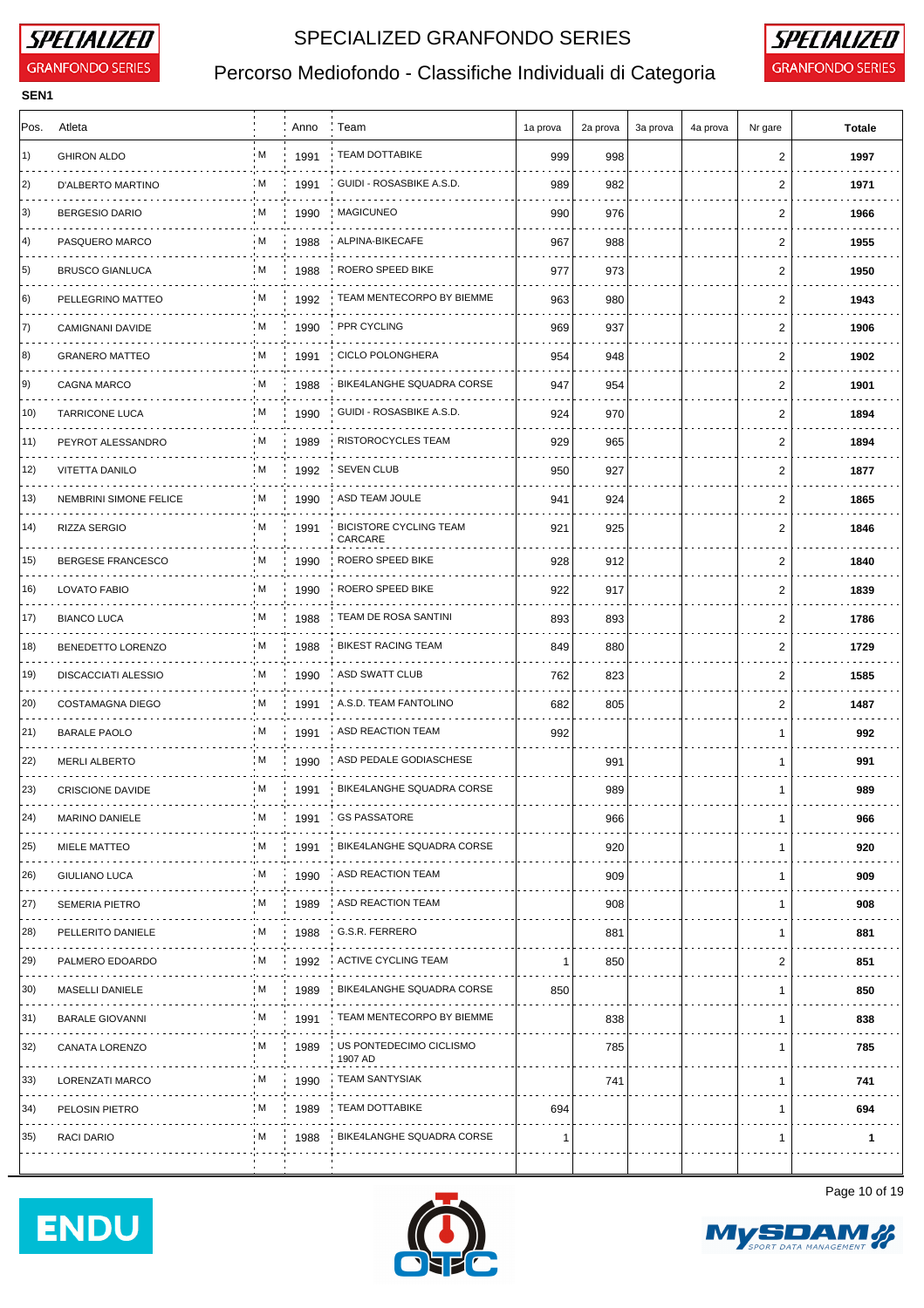

**SEN1**

## SPECIALIZED GRANFONDO SERIES **SPECIALIZED**



# Percorso Mediofondo - Classifiche Individuali di Categoria **GRANFONDO SERIES**

|     | Pos. Atleta                 |     | Anno | : Team                                   | 1a prova | 2a prova | 3a prova | 4a prova | Nr gare        | <b>Totale</b> |
|-----|-----------------------------|-----|------|------------------------------------------|----------|----------|----------|----------|----------------|---------------|
| 1)  | <b>GHIRON ALDO</b>          | ۰M  | 1991 | <b>TEAM DOTTABIKE</b>                    | 999      | 998      |          |          | 2              | 1997          |
| 2)  | D'ALBERTO MARTINO           | : M | 1991 | GUIDI - ROSASBIKE A.S.D.                 | 989      | 982      |          |          | 2              | 1971          |
| 3)  | <b>BERGESIO DARIO</b>       | ; M | 1990 | <b>MAGICUNEO</b>                         | 990      | 976      |          |          | 2              | 1966          |
| 4)  | PASQUERO MARCO              | ۰M  | 1988 | ALPINA-BIKECAFE                          | 967      | 988      |          |          | 2              | 1955          |
| 5)  | <b>BRUSCO GIANLUCA</b>      | ; M | 1988 | ROERO SPEED BIKE                         | 977      | 973      |          |          | 2              | 1950          |
| 6)  | .<br>PELLEGRINO MATTEO      | ۰M  | 1992 | TEAM MENTECORPO BY BIEMME                | 963      | 980      |          |          | 2              | 1943          |
| 7)  | CAMIGNANI DAVIDE            | : M | 1990 | PPR CYCLING                              | 969      | 937      |          |          | 2              | 1906          |
| 8)  | .<br><b>GRANERO MATTEO</b>  | : M | 1991 | CICLO POLONGHERA                         | 954      | 948      |          |          | 2              | 1902          |
| 9)  | CAGNA MARCO                 | · M | 1988 | BIKE4LANGHE SQUADRA CORSE                | 947      | 954      |          |          | $\overline{2}$ | 1901          |
| 10) | <b>TARRICONE LUCA</b>       | ; M | 1990 | GUIDI - ROSASBIKE A.S.D.                 | 924      | 970      |          |          | 2              | 1894          |
| 11) | PEYROT ALESSANDRO           | ۰M  | 1989 | RISTOROCYCLES TEAM                       | 929      | 965      |          |          | 2              | 1894          |
| 12) | <b>VITETTA DANILO</b>       | : M | 1992 | <b>SEVEN CLUB</b>                        | 950      | 927      |          |          | 2              | 1877          |
| 13) | NEMBRINI SIMONE FELICE<br>. | : M | 1990 | ASD TEAM JOULE                           | 941      | 924      |          |          | $\overline{c}$ | 1865          |
| 14) | RIZZA SERGIO                | ۰M  | 1991 | <b>BICISTORE CYCLING TEAM</b><br>CARCARE | 921      | 925      |          |          | 2              | 1846          |
| 15) | BERGESE FRANCESCO           | : M | 1990 | ROERO SPEED BIKE                         | 928      | 912      |          |          | 2              | 1840          |
| 16) | LOVATO FABIO                | i M | 1990 | ROERO SPEED BIKE                         | 922      | 917      |          |          | 2              | 1839          |
| 17) | <b>BIANCO LUCA</b>          | ; M | 1988 | TEAM DE ROSA SANTINI                     | 893      | 893      |          |          | 2              | 1786          |
| 18) | BENEDETTO LORENZO           | ۰M  | 1988 | <b>BIKEST RACING TEAM</b>                | 849      | 880      |          |          | 2              | 1729          |
| 19) | DISCACCIATI ALESSIO         | : M | 1990 | ASD SWATT CLUB                           | 762      | 823      |          |          | 2              | 1585          |
| 20) | COSTAMAGNA DIEGO            | : M | 1991 | A.S.D. TEAM FANTOLINO                    | 682      | 805      |          |          | $\overline{c}$ | 1487          |
| 21) | <b>BARALE PAOLO</b>         | · M | 1991 | ASD REACTION TEAM                        | 992      |          |          |          | 1              | 992           |
| 22) | <b>MERLI ALBERTO</b>        | ; M | 1990 | ASD PEDALE GODIASCHESE                   |          | 991      |          |          | $\mathbf 1$    | 991           |
| 23) | <b>CRISCIONE DAVIDE</b>     | ۰M  | 1991 | BIKE4LANGHE SQUADRA CORSE                |          | 989      |          |          | -1             | 989           |
| 24) | <b>MARINO DANIELE</b>       | : M | 1991 | <b>GS PASSATORE</b>                      |          | 966      |          |          | 1              | 966           |
| 25) | MIELE MATTEO                | ; M | 1991 | BIKE4LANGHE SQUADRA CORSE                |          | 920      |          |          | 1              | 920           |
| 26) | GIULIANO LUCA               | ٠М  | 1990 | ASD REACTION TEAM                        |          | 909      |          |          | 1              | 909           |
| 27) | <b>SEMERIA PIETRO</b>       | ; M | 1989 | ASD REACTION TEAM                        |          | 908      |          |          | 1              | 908           |
| 28) | PELLERITO DANIELE<br>.      | : M | 1988 | G.S.R. FERRERO                           |          | 881      |          |          | -1             | 881           |
| 29) | PALMERO EDOARDO             | : M | 1992 | ACTIVE CYCLING TEAM                      | -1       | 850      |          |          | 2              | 851           |
| 30) | MASELLI DANIELE             | ; M | 1989 | BIKE4LANGHE SQUADRA CORSE<br>.           | 850      |          |          |          | -1             | 850           |
| 31) | <b>BARALE GIOVANNI</b>      | i M | 1991 | TEAM MENTECORPO BY BIEMME                |          | 838      |          |          | $\mathbf 1$    | 838           |
| 32) | CANATA LORENZO              | : M | 1989 | US PONTEDECIMO CICLISMO<br>1907 AD       |          | 785      |          |          | 1              | 785           |
| 33) | <b>LORENZATI MARCO</b>      | ÷М  | 1990 | <b>TEAM SANTYSIAK</b>                    |          | 741      |          |          | -1             | 741           |
| 34) | PELOSIN PIETRO              | ; M | 1989 | <b>TEAM DOTTABIKE</b>                    | 694      |          |          |          | $\mathbf 1$    | 694           |
| 35) | RACI DARIO                  | : M | 1988 | BIKE4LANGHE SQUADRA CORSE                | -1       |          |          |          | -1             | 1             |
|     |                             |     |      |                                          |          |          |          |          |                |               |





Page 10 of 19

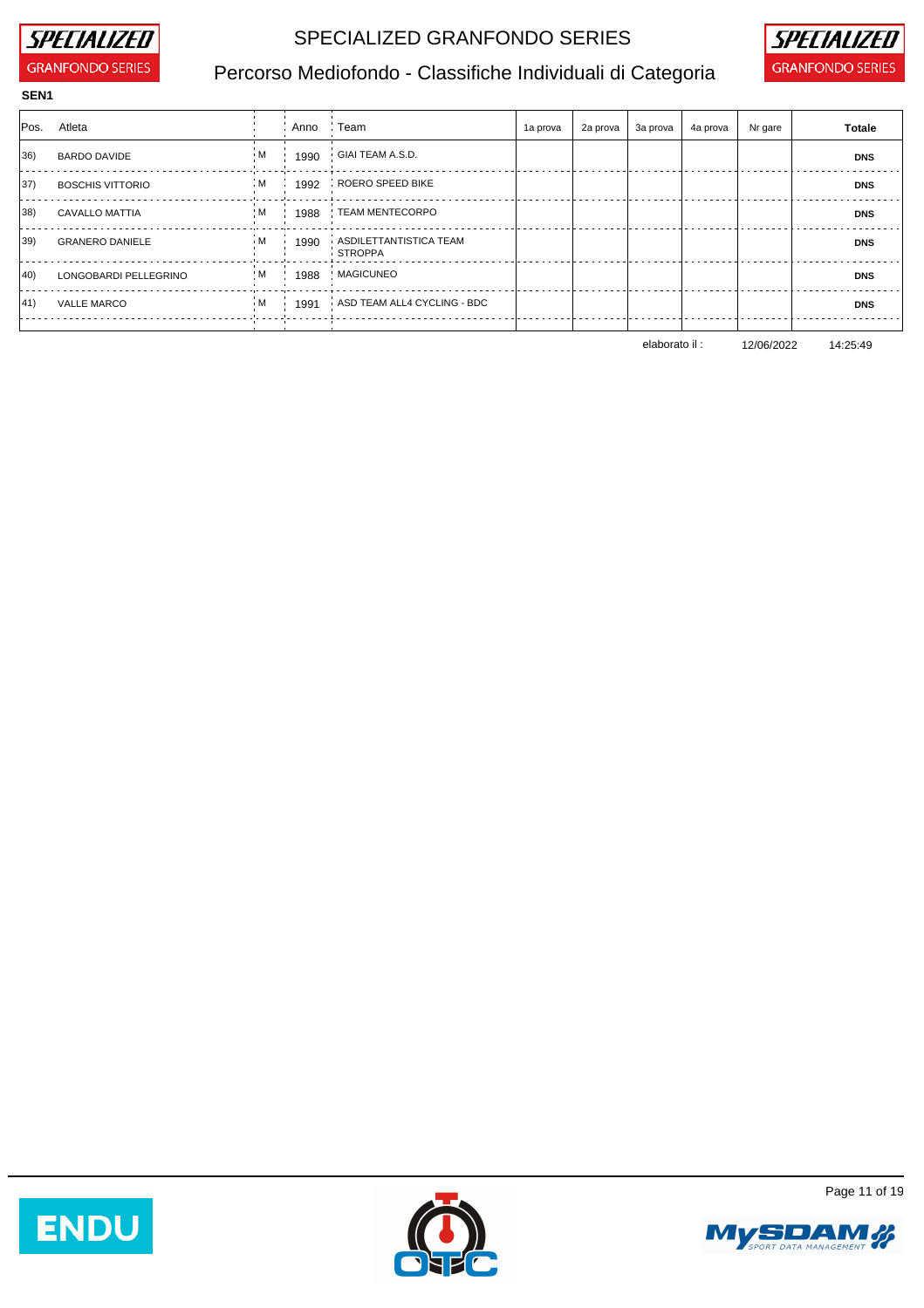

**SEN1**

## SPECIALIZED GRANFONDO SERIES **SPECIALIZED**



#### **GRANFONDO SERIES**

# Percorso Mediofondo - Classifiche Individuali di Categoria **GRANFONDO SERIES**

| Pos.         | Atleta                  |    | ;Anno ;Team               |                                                   | 1a prova | 2a prova | 3a prova       | 4a prova | Nr gare | <b>Totale</b> |
|--------------|-------------------------|----|---------------------------|---------------------------------------------------|----------|----------|----------------|----------|---------|---------------|
| 36)          | <b>BARDO DAVIDE</b>     | ۰M |                           | $\frac{1}{2}$ 1990 $\frac{1}{2}$ GIAI TEAM A.S.D. |          |          |                |          |         | <b>DNS</b>    |
| $ 37\rangle$ | <b>BOSCHIS VITTORIO</b> |    |                           | $M = 1992$ ROERO SPEED BIKE                       |          |          |                |          |         | <b>DNS</b>    |
| $ 38\rangle$ | <b>CAVALLO MATTIA</b>   |    |                           | M   1988   TEAM MENTECORPO                        |          |          |                |          |         | <b>DNS</b>    |
| 39)          | <b>GRANERO DANIELE</b>  | ÷м | 1990<br><b>COLLECTION</b> | ASDILETTANTISTICA TEAM<br><b>STROPPA</b>          |          |          |                |          |         | <b>DNS</b>    |
| $ 40\rangle$ | LONGOBARDI PELLEGRINO   |    |                           | M : 1988 : MAGICUNEO                              |          |          |                |          |         | <b>DNS</b>    |
| $ 41\rangle$ | <b>VALLE MARCO</b>      | ÷м | 1991                      | ASD TEAM ALL4 CYCLING - BDC                       |          |          |                |          |         | <b>DNS</b>    |
|              |                         |    |                           |                                                   |          |          | elaborato il : |          |         |               |







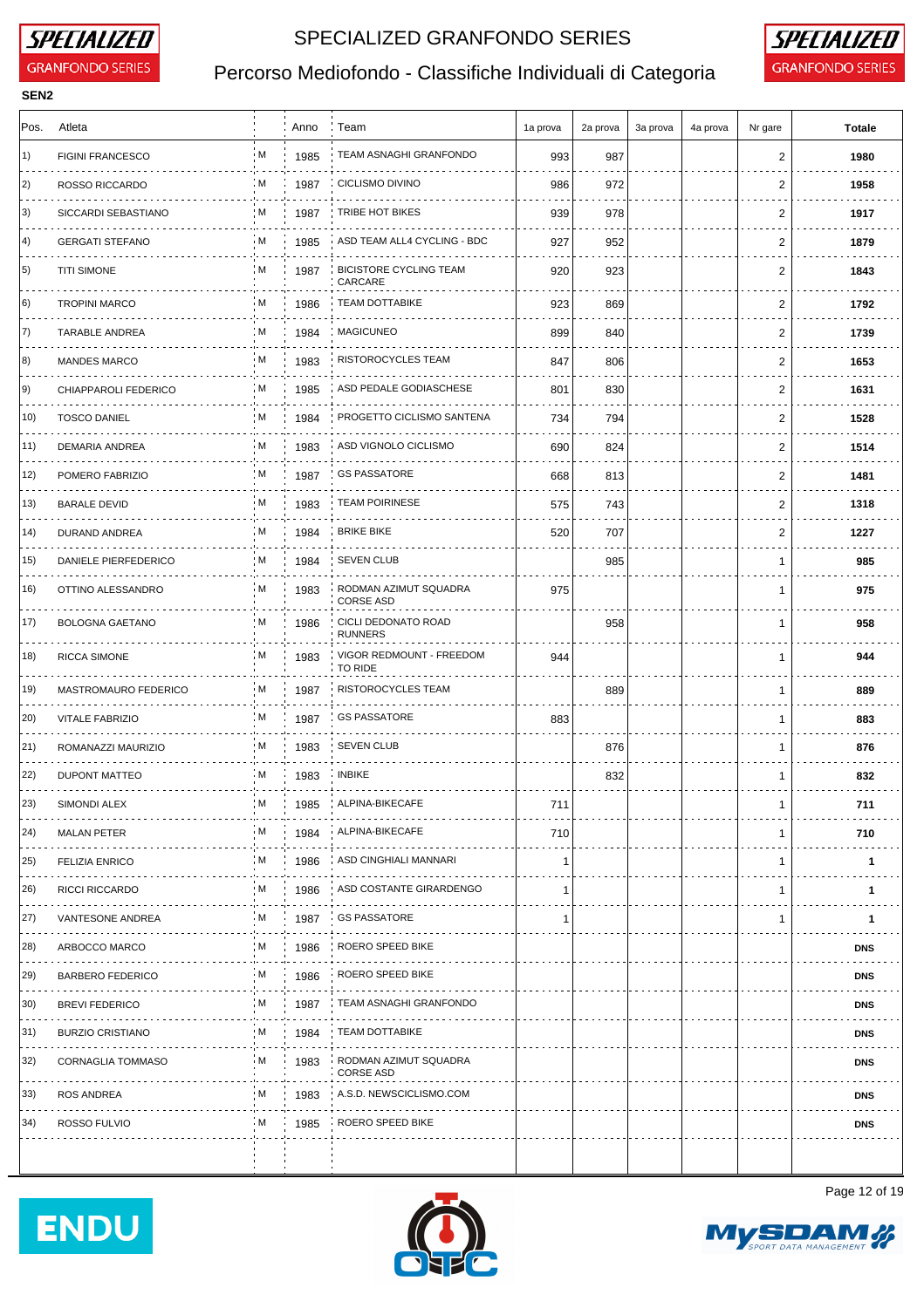

**SEN2**

## SPECIALIZED GRANFONDO SERIES **SPECIALIZED**



# Percorso Mediofondo - Classifiche Individuali di Categoria **GRANFONDO SERIES**

| Pos.                        | Atleta                       |     | Anno | : Team                                    | 1a prova | 2a prova | 3a prova | 4a prova | Nr gare                 | Totale     |
|-----------------------------|------------------------------|-----|------|-------------------------------------------|----------|----------|----------|----------|-------------------------|------------|
| 1)                          | <b>FIGINI FRANCESCO</b>      | ·Μ  | 1985 | TEAM ASNAGHI GRANFONDO                    | 993      | 987      |          |          | $\overline{c}$          | 1980       |
| 2)                          | ROSSO RICCARDO<br>.          | i M | 1987 | <b>CICLISMO DIVINO</b>                    | 986      | 972      |          |          | 2                       | 1958       |
| 3)                          | SICCARDI SEBASTIANO          | ; M | 1987 | TRIBE HOT BIKES                           | 939      | 978      |          |          | $\overline{\mathbf{c}}$ | 1917       |
| 4)                          | <b>GERGATI STEFANO</b>       | ۰M  | 1985 | ASD TEAM ALL4 CYCLING - BDC               | 927      | 952      |          |          | $\overline{\mathbf{c}}$ | 1879       |
| 5)                          | <b>TITI SIMONE</b>           | : M | 1987 | <b>BICISTORE CYCLING TEAM</b><br>CARCARE  | 920      | 923      |          |          | $\overline{\mathbf{c}}$ | 1843       |
| 6)                          | <b>TROPINI MARCO</b>         | i M | 1986 | <b>TEAM DOTTABIKE</b>                     | 923      | 869      |          |          | $\overline{\mathbf{c}}$ | 1792       |
| 7)                          | <b>TARABLE ANDREA</b>        | ; M | 1984 | <b>MAGICUNEO</b>                          | 899      | 840      |          |          | $\overline{\mathbf{c}}$ | 1739       |
| 8)                          | <b>MANDES MARCO</b>          | ∙ M | 1983 | RISTOROCYCLES TEAM                        | 847      | 806      |          |          | $\overline{\mathbf{c}}$ | 1653       |
| 9)                          | CHIAPPAROLI FEDERICO         | : M | 1985 | ASD PEDALE GODIASCHESE                    | 801      | 830      |          |          | $\overline{\mathbf{c}}$ | 1631       |
| 10)                         | <b>TOSCO DANIEL</b>          | : M | 1984 | PROGETTO CICLISMO SANTENA                 | 734      | 794      |          |          | $\overline{c}$          | 1528       |
| 11)                         | DEMARIA ANDREA<br>.          | · M | 1983 | ASD VIGNOLO CICLISMO                      | 690      | 824      |          |          | $\overline{\mathbf{c}}$ | 1514       |
| 12)                         | POMERO FABRIZIO              | ; M | 1987 | <b>GS PASSATORE</b>                       | 668      | 813      |          |          | $\overline{\mathbf{c}}$ | 1481       |
| 13)                         | <b>BARALE DEVID</b>          | : M | 1983 | <b>TEAM POIRINESE</b>                     | 575      | 743      |          |          | $\overline{\mathbf{c}}$ | 1318       |
| 14)                         | DURAND ANDREA                | : M | 1984 | <b>BRIKE BIKE</b>                         | 520      | 707      |          |          | $\overline{\mathbf{c}}$ | 1227       |
| 15)                         | DANIELE PIERFEDERICO         | : M | 1984 | <b>SEVEN CLUB</b>                         |          | 985      |          |          | 1                       | 985        |
| 16)                         | OTTINO ALESSANDRO            | M   | 1983 | RODMAN AZIMUT SQUADRA<br><b>CORSE ASD</b> | 975      |          |          |          | 1                       | 975        |
| 17)                         | BOLOGNA GAETANO              | M   | 1986 | CICLI DEDONATO ROAD<br><b>RUNNERS</b>     |          | 958      |          |          | 1                       | 958        |
| 18)                         | <b>RICCA SIMONE</b>          | : M | 1983 | VIGOR REDMOUNT - FREEDOM<br>TO RIDE       | 944      |          |          |          | 1                       | 944        |
| 19)                         | MASTROMAURO FEDERICO         | ۰M  | 1987 | RISTOROCYCLES TEAM                        |          | 889      |          |          | 1                       | 889        |
| 20)                         | .<br><b>VITALE FABRIZIO</b>  | : M | 1987 | <b>GS PASSATORE</b>                       | 883      |          |          |          | 1                       | 883        |
| 21)                         | ROMANAZZI MAURIZIO           | : M | 1983 | <b>SEVEN CLUB</b>                         |          | 876      |          |          | 1                       | 876        |
| 22)                         | DUPONT MATTEO                | . M | 1983 | <b>INBIKE</b>                             |          | 832      |          |          | 1                       | 832        |
| $ 23\rangle$                | SIMONDI ALEX                 | 'M  |      | 1985 ALPINA-BIKECAFE                      | 711      |          |          |          | 1                       | 711        |
| $ 24\rangle$                | <b>MALAN PETER</b>           | ۰M  | 1984 | ALPINA-BIKECAFE                           | 710      |          |          |          | 1                       | 710        |
| 25)                         | <b>FELIZIA ENRICO</b>        | : M | 1986 | ASD CINGHIALI MANNARI<br>.                | 1        |          |          |          | 1                       | 1          |
| 26)                         | <b>RICCI RICCARDO</b>        | : M | 1986 | ASD COSTANTE GIRARDENGO                   | 1        |          |          |          | 1                       | 1          |
| 27)                         | VANTESONE ANDREA             | ÷М  | 1987 | <b>GS PASSATORE</b>                       |          |          |          |          | 1                       | 1          |
| 28)<br>$\sim$ $\sim$        | ARBOCCO MARCO                | ; M | 1986 | ROERO SPEED BIKE                          |          |          |          |          |                         | <b>DNS</b> |
| 29)<br>$\sim$ $\sim$ $\sim$ | <b>BARBERO FEDERICO</b>      | ۰M  | 1986 | ROERO SPEED BIKE                          |          |          |          |          |                         | <b>DNS</b> |
| 30)<br>$\sim$ $\sim$ $\sim$ | <b>BREVI FEDERICO</b>        | : M | 1987 | <b>TEAM ASNAGHI GRANFONDO</b>             |          |          |          |          |                         | <b>DNS</b> |
| 31)                         | <b>BURZIO CRISTIANO</b><br>. | : M | 1984 | <b>TEAM DOTTABIKE</b>                     |          |          |          |          |                         | <b>DNS</b> |
| 32)                         | CORNAGLIA TOMMASO            | ÷М  | 1983 | RODMAN AZIMUT SQUADRA<br><b>CORSE ASD</b> |          |          |          |          |                         | <b>DNS</b> |
| 33)                         | .<br>ROS ANDREA              | : M | 1983 | A.S.D. NEWSCICLISMO.COM                   |          |          |          |          |                         | <b>DNS</b> |
| 34)                         | ROSSO FULVIO                 | . M | 1985 | ROERO SPEED BIKE                          |          |          |          |          |                         | <b>DNS</b> |
|                             |                              |     |      |                                           |          |          |          |          |                         |            |





Page 12 of 19

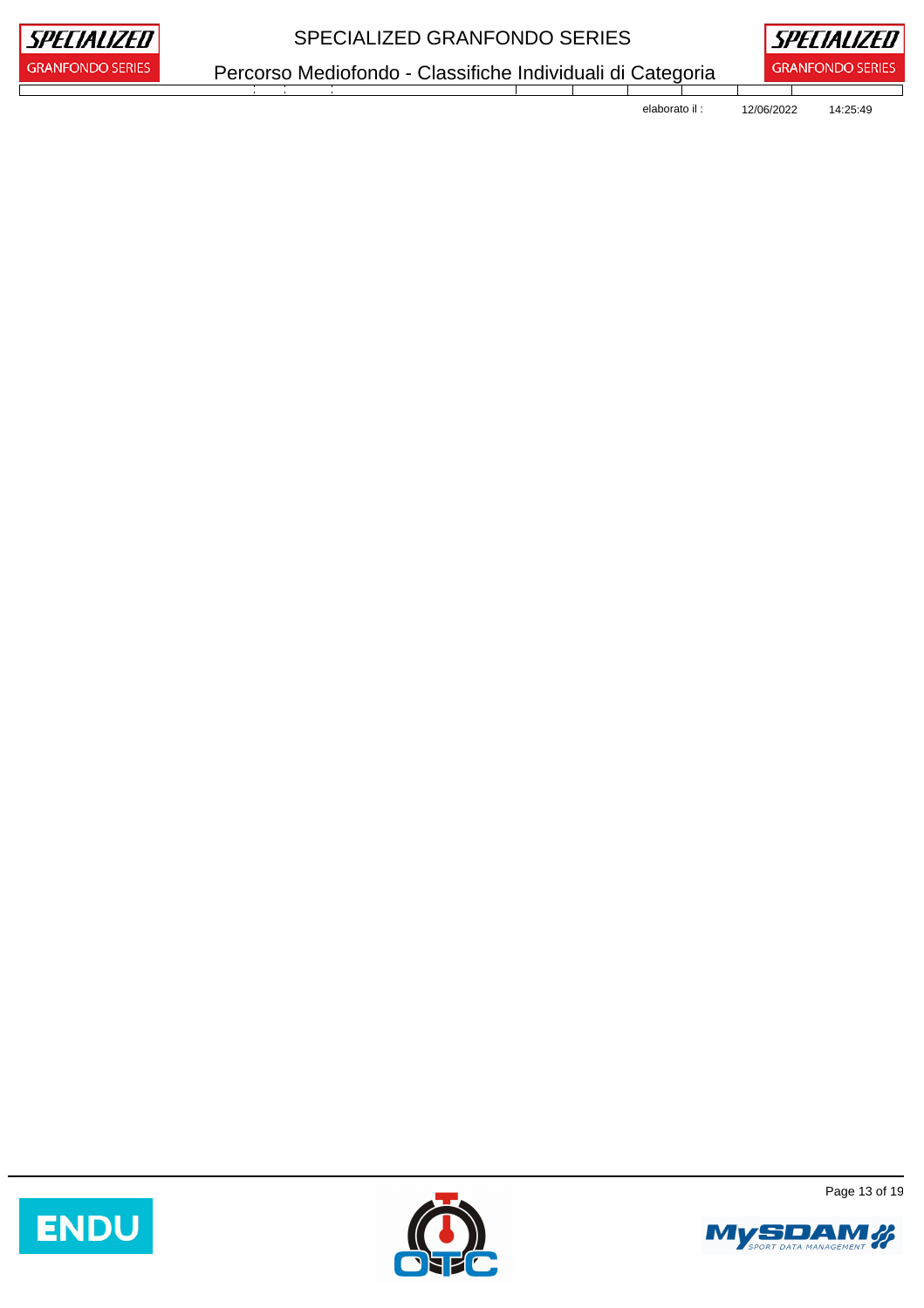



٦

Percorso Mediofondo - Classifiche Individuali di Categoria **GRANFONDO SERIES** 

elaborato il : 12/06/2022 14:25:49



Page 13 of 19



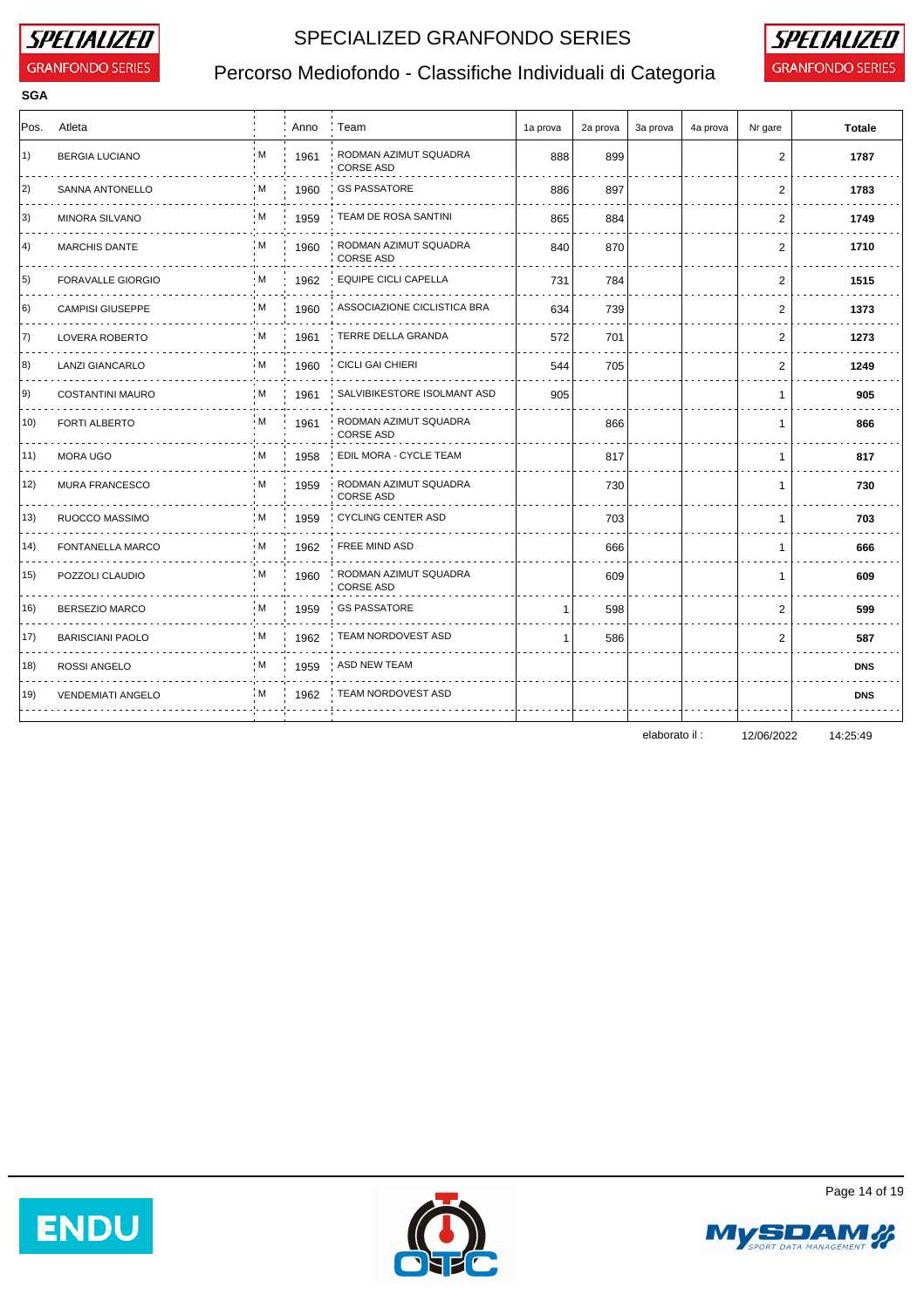

**SGA**

### SPECIALIZED GRANFONDO SERIES **SPECIALIZED**



## Percorso Mediofondo - Classifiche Individuali di Categoria **GRANFONDO SERIES**

| Pos.           | Atleta                   |     | Anno | : Team                                         | 1a prova | 2a prova | 3a prova | 4a prova | Nr gare        | <b>Totale</b> |
|----------------|--------------------------|-----|------|------------------------------------------------|----------|----------|----------|----------|----------------|---------------|
| 1)             | <b>BERGIA LUCIANO</b>    | ۰M  | 1961 | RODMAN AZIMUT SQUADRA<br><b>CORSE ASD</b>      | 888      | 899      |          |          | 2              | 1787          |
| 2)             | <b>SANNA ANTONELLO</b>   | : M | 1960 | <b>GS PASSATORE</b>                            | 886      | 897      |          |          | $\overline{2}$ | 1783          |
| 3)             | <b>MINORA SILVANO</b>    | ۰M  | 1959 | TEAM DE ROSA SANTINI                           | 865      | 884      |          |          | $\overline{2}$ | 1749          |
| 4)             | <b>MARCHIS DANTE</b>     | : M | 1960 | RODMAN AZIMUT SQUADRA<br><b>CORSE ASD</b>      | 840      | 870      |          |          | $\overline{2}$ | 1710          |
| 5)             | <b>FORAVALLE GIORGIO</b> | ۰M  | 1962 | <b>EQUIPE CICLI CAPELLA</b>                    | 731      | 784      |          |          | $\overline{2}$ | 1515          |
| 6)             | <b>CAMPISI GIUSEPPE</b>  | : M | 1960 | ASSOCIAZIONE CICLISTICA BRA                    | 634      | 739      |          |          | $\overline{2}$ | 1373          |
| $\overline{7}$ | LOVERA ROBERTO           | ۰M  | 1961 | TERRE DELLA GRANDA                             | 572      | 701      |          |          | $\overline{2}$ | 1273          |
| 8)             | <b>LANZI GIANCARLO</b>   | i M | 1960 | <b>CICLI GAI CHIERI</b>                        | 544      | 705      |          |          | $\overline{2}$ | 1249          |
| 9)             | COSTANTINI MAURO         | : M | 1961 | SALVIBIKESTORE ISOLMANT ASD                    | 905      |          |          |          | $\mathbf{1}$   | 905           |
| 10)            | <b>FORTI ALBERTO</b>     | ۰M  | 1961 | RODMAN AZIMUT SQUADRA<br><b>CORSE ASD</b>      |          | 866      |          |          | $\mathbf{1}$   | 866           |
| 11)            | <b>MORA UGO</b>          | ; M | 1958 | EDIL MORA - CYCLE TEAM                         |          | 817      |          |          | $\mathbf{1}$   | 817           |
| 12)            | <b>MURA FRANCESCO</b>    | ۰M  | 1959 | RODMAN AZIMUT SQUADRA<br><b>CORSE ASD</b>      |          | 730      |          |          | $\mathbf{1}$   | 730           |
| 13)            | RUOCCO MASSIMO           | : M | 1959 | CYCLING CENTER ASD                             |          | 703      |          |          | $\mathbf{1}$   | 703           |
| (14)           | FONTANELLA MARCO         | ۰M  | 1962 | FREE MIND ASD                                  |          | 666      |          |          | $\mathbf{1}$   | 666           |
| 15)            | POZZOLI CLAUDIO          | : M |      | 1960 RODMAN AZIMUT SQUADRA<br><b>CORSE ASD</b> |          | 609      |          |          | $\mathbf{1}$   | 609           |
| 16)            | <b>BERSEZIO MARCO</b>    | ۰M  |      | 1959 GS PASSATORE                              |          | 598      |          |          | $\overline{2}$ | 599           |
| 17)            | <b>BARISCIANI PAOLO</b>  | : M | 1962 | TEAM NORDOVEST ASD                             | 1        | 586      |          |          | 2              | 587           |
| 18)            | ROSSI ANGELO             | : M | 1959 | ASD NEW TEAM                                   |          |          |          |          |                | <b>DNS</b>    |
| 19)            | <b>VENDEMIATI ANGELO</b> | ∶ M |      | 1962 FEAM NORDOVEST ASD                        |          |          |          |          |                | <b>DNS</b>    |
|                |                          |     |      |                                                |          |          |          |          |                |               |

elaborato il : 12/06/2022 14:25:49







Page 14 of 19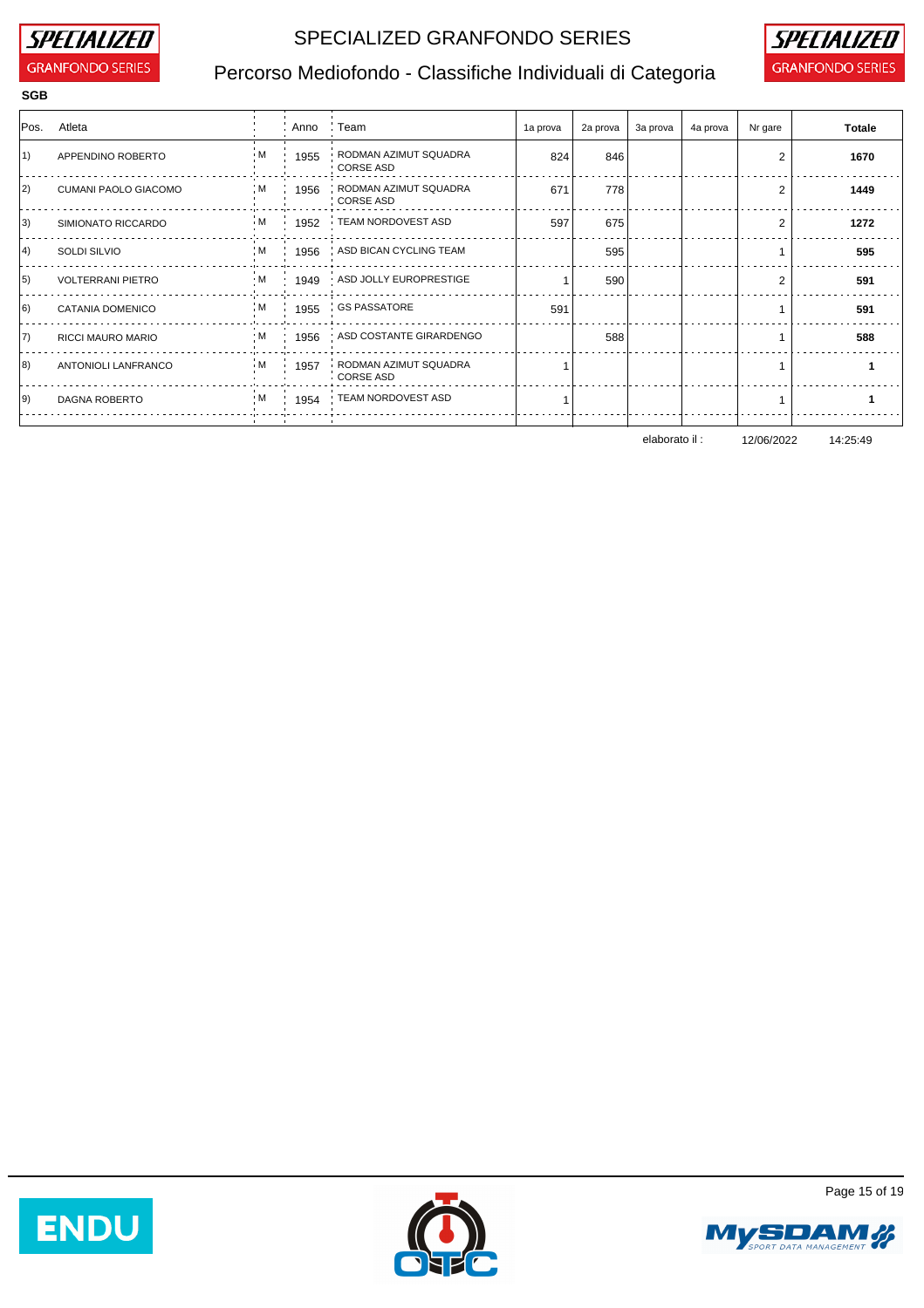

#### SPECIALIZED GRANFONDO SERIES **SPECIALIZED**



#### **GRANFONDO SERIES**

**SGB**

## Percorso Mediofondo - Classifiche Individuali di Categoria **GRANFONDO SERIES**

| Pos.        | Atleta                      |     | Anno : Team |                                             | 1a prova | 2a prova | 3a prova | 4a prova | Nr gare        | <b>Totale</b> |
|-------------|-----------------------------|-----|-------------|---------------------------------------------|----------|----------|----------|----------|----------------|---------------|
| $ 1\rangle$ | APPENDINO ROBERTO           | ۰M  |             | 1955 : RODMAN AZIMUT SQUADRA<br>⋅ CORSE ASD | 824      | 846      |          |          | 2              | 1670          |
| 2)          | <b>CUMANI PAOLO GIACOMO</b> | : M |             | 1956 RODMAN AZIMUT SQUADRA<br>CORSE ASD     | 671      | 778      |          |          | 2              | 1449          |
| $ 3\rangle$ | SIMIONATO RICCARDO          | ÷м  |             | 1952 TEAM NORDOVEST ASD                     | 597      | 675      |          |          | $\overline{2}$ | 1272          |
| 4)          | SOLDI SILVIO                |     |             | M   1956   ASD BICAN CYCLING TEAM           |          | 595      |          |          |                | 595           |
| 5)          | <b>VOLTERRANI PIETRO</b>    |     |             | M 1949 ASD JOLLY EUROPRESTIGE               |          | 590      |          |          | 2              | 591           |
| 6)          | CATANIA DOMENICO            |     |             | M 1955 GS PASSATORE                         | 591      |          |          |          |                | 591           |
| 7)          | <b>RICCI MAURO MARIO</b>    |     |             | M 1956 ASD COSTANTE GIRARDENGO              |          | 588      |          |          |                | 588           |
| 8)          | ANTONIOLI LANFRANCO         | ÷м  |             | 1957 RODMAN AZIMUT SQUADRA<br>CORSE ASD     |          |          |          |          |                |               |
| 9)          | DAGNA ROBERTO               | ∴M  |             | 1954 : TEAM NORDOVEST ASD                   |          |          |          |          |                |               |
|             |                             |     |             |                                             |          |          |          |          |                |               |

elaborato il : 12/06/2022 14:25:49







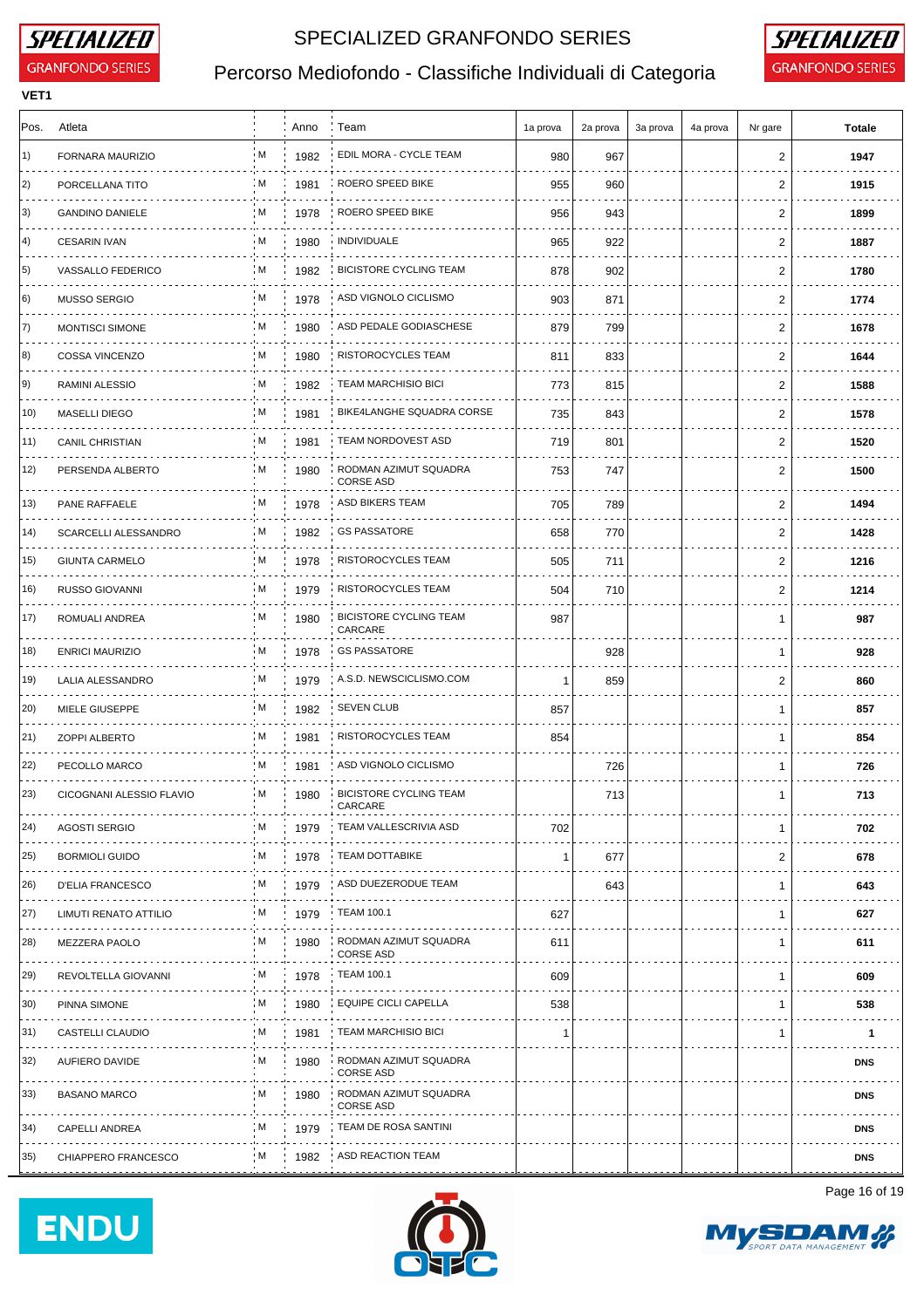

**VET1**

## SPECIALIZED GRANFONDO SERIES **SPECIALIZED**



# Percorso Mediofondo - Classifiche Individuali di Categoria **GRANFONDO SERIES**

| Pos.     | Atleta                        |     | Anno | : Team                                    | 1a prova | 2a prova | 3a prova | 4a prova | Nr gare                 | Totale     |  |
|----------|-------------------------------|-----|------|-------------------------------------------|----------|----------|----------|----------|-------------------------|------------|--|
| 1)       | FORNARA MAURIZIO              | ' M | 1982 | EDIL MORA - CYCLE TEAM                    | 980      | 967      |          |          | $\overline{\mathbf{c}}$ | 1947       |  |
| 2)       | PORCELLANA TITO               | . M | 1981 | ROERO SPEED BIKE                          | 955      | 960      |          |          | 2                       | 1915       |  |
| 3)       | <b>GANDINO DANIELE</b>        | ; M | 1978 | ROERO SPEED BIKE                          | 956      | 943      |          |          | 2                       | 1899       |  |
| 4)       | <b>CESARIN IVAN</b>           | ۰M  | 1980 | INDIVIDUALE                               | 965      | 922      |          |          | 2                       | 1887       |  |
| 5)       | VASSALLO FEDERICO             | : M | 1982 | BICISTORE CYCLING TEAM                    | 878      | 902      |          |          | $\overline{2}$          | 1780       |  |
| 6)       | <b>MUSSO SERGIO</b>           | : M | 1978 | ASD VIGNOLO CICLISMO                      | 903      | 871      |          |          | $\overline{\mathbf{c}}$ | 1774       |  |
| 7)       | MONTISCI SIMONE               | . M | 1980 | ASD PEDALE GODIASCHESE                    | 879      | 799      |          |          | 2                       | 1678       |  |
| 8)       | COSSA VINCENZO                | : M | 1980 | RISTOROCYCLES TEAM                        | 811      | 833      |          |          | $\overline{\mathbf{c}}$ | 1644       |  |
| 9)       | RAMINI ALESSIO                | ۰M  | 1982 | <b>TEAM MARCHISIO BICI</b>                | 773      | 815      |          |          | $\overline{\mathbf{c}}$ | 1588       |  |
| 10)      | <b>MASELLI DIEGO</b>          | ; M | 1981 | BIKE4LANGHE SQUADRA CORSE                 | 735      | 843      |          |          | $\overline{\mathbf{c}}$ | 1578       |  |
| 11)      | <b>CANIL CHRISTIAN</b>        | ' M | 1981 | <b>TEAM NORDOVEST ASD</b>                 | 719      | 801      |          |          | $\overline{\mathbf{c}}$ | 1520       |  |
| 12)      | .<br>PERSENDA ALBERTO         | : M | 1980 | RODMAN AZIMUT SQUADRA<br><b>CORSE ASD</b> | 753      | 747      |          |          | $\overline{\mathbf{c}}$ | 1500       |  |
| 13)      | PANE RAFFAELE                 | : M | 1978 | ASD BIKERS TEAM                           | 705      | 789      |          |          | $\overline{\mathbf{c}}$ | 1494       |  |
| 14)      | SCARCELLI ALESSANDRO          | . M | 1982 | <b>GS PASSATORE</b>                       | 658      | 770      |          |          | 2                       | 1428       |  |
| 15)      | <b>GIUNTA CARMELO</b>         | : M | 1978 | RISTOROCYCLES TEAM                        | 505      | 711      |          |          | $\overline{\mathbf{c}}$ | 1216       |  |
| 16)      | <b>RUSSO GIOVANNI</b>         | ۰M  | 1979 | RISTOROCYCLES TEAM<br>.                   | 504      | 710      |          |          | $\overline{\mathbf{c}}$ | 1214       |  |
| 17)      | ROMUALI ANDREA                | ; M | 1980 | <b>BICISTORE CYCLING TEAM</b><br>CARCARE  | 987      |          |          |          | 1                       | 987        |  |
| 18)      | <b>ENRICI MAURIZIO</b>        | · M | 1978 | <b>GS PASSATORE</b>                       |          | 928      |          |          | 1                       | 928        |  |
| 19)      | LALIA ALESSANDRO              | ; M | 1979 | A.S.D. NEWSCICLISMO.COM                   | -1       | 859      |          |          | $\overline{\mathbf{c}}$ | 860        |  |
| 20)      | MIELE GIUSEPPE                | ۰M  | 1982 | <b>SEVEN CLUB</b>                         | 857      |          |          |          | 1                       | 857        |  |
| 21)      | <b>ZOPPI ALBERTO</b>          | . M | 1981 | RISTOROCYCLES TEAM                        | 854      |          |          |          | 1                       | 854        |  |
| 22)      | PECOLLO MARCO                 | : M | 1981 | ASD VIGNOLO CICLISMO                      |          | 726      |          |          | 1                       | 726        |  |
| 23)      | CICOGNANI ALESSIO FLAVIO<br>. | ۰M  | 1980 | <b>BICISTORE CYCLING TEAM</b><br>CARCARE  |          | 713      |          |          | 1                       | 713        |  |
| 24)      | <b>AGOSTI SERGIO</b>          | M   | 1979 | TEAM VALLESCRIVIA ASD                     | 702      |          |          |          | 1                       | 702        |  |
| 25)      | <b>BORMIOLI GUIDO</b>         | i M | 1978 | <b>TEAM DOTTABIKE</b>                     | -1       | 677      |          |          | 2                       | 678        |  |
| 26)      | <b>D'ELIA FRANCESCO</b>       | ; M | 1979 | ASD DUEZERODUE TEAM                       |          | 643      |          |          | 1                       | 643        |  |
| (27)     | LIMUTI RENATO ATTILIO         | ۰M  | 1979 | · TEAM 100.1                              | 627      |          |          |          | 1                       | 627        |  |
| 28)      | MEZZERA PAOLO                 | : M | 1980 | RODMAN AZIMUT SQUADRA<br><b>CORSE ASD</b> | 611      |          |          |          | 1                       | 611        |  |
| .<br>29) | REVOLTELLA GIOVANNI           | M   | 1978 | · TEAM 100.1                              | 609      |          |          |          | 1                       | 609        |  |
| 30)      | PINNA SIMONE                  | : M | 1980 | EQUIPE CICLI CAPELLA                      | 538      |          |          |          | 1                       | 538        |  |
| 31)      | CASTELLI CLAUDIO              | M   | 1981 | <b>TEAM MARCHISIO BICI</b>                | -1       |          |          |          | 1                       | 1          |  |
| 32)      | AUFIERO DAVIDE                | . M | 1980 | RODMAN AZIMUT SQUADRA<br><b>CORSE ASD</b> |          |          |          |          |                         | <b>DNS</b> |  |
| 33)      | <b>BASANO MARCO</b>           | M   | 1980 | RODMAN AZIMUT SQUADRA<br><b>CORSE ASD</b> |          |          |          |          |                         | <b>DNS</b> |  |
| 34)      | <b>CAPELLI ANDREA</b>         | : M | 1979 | TEAM DE ROSA SANTINI                      |          |          |          |          |                         | <b>DNS</b> |  |
| 35)      | CHIAPPERO FRANCESCO           | : M | 1982 | ASD REACTION TEAM                         |          |          |          |          |                         | <b>DNS</b> |  |





Page 16 of 19

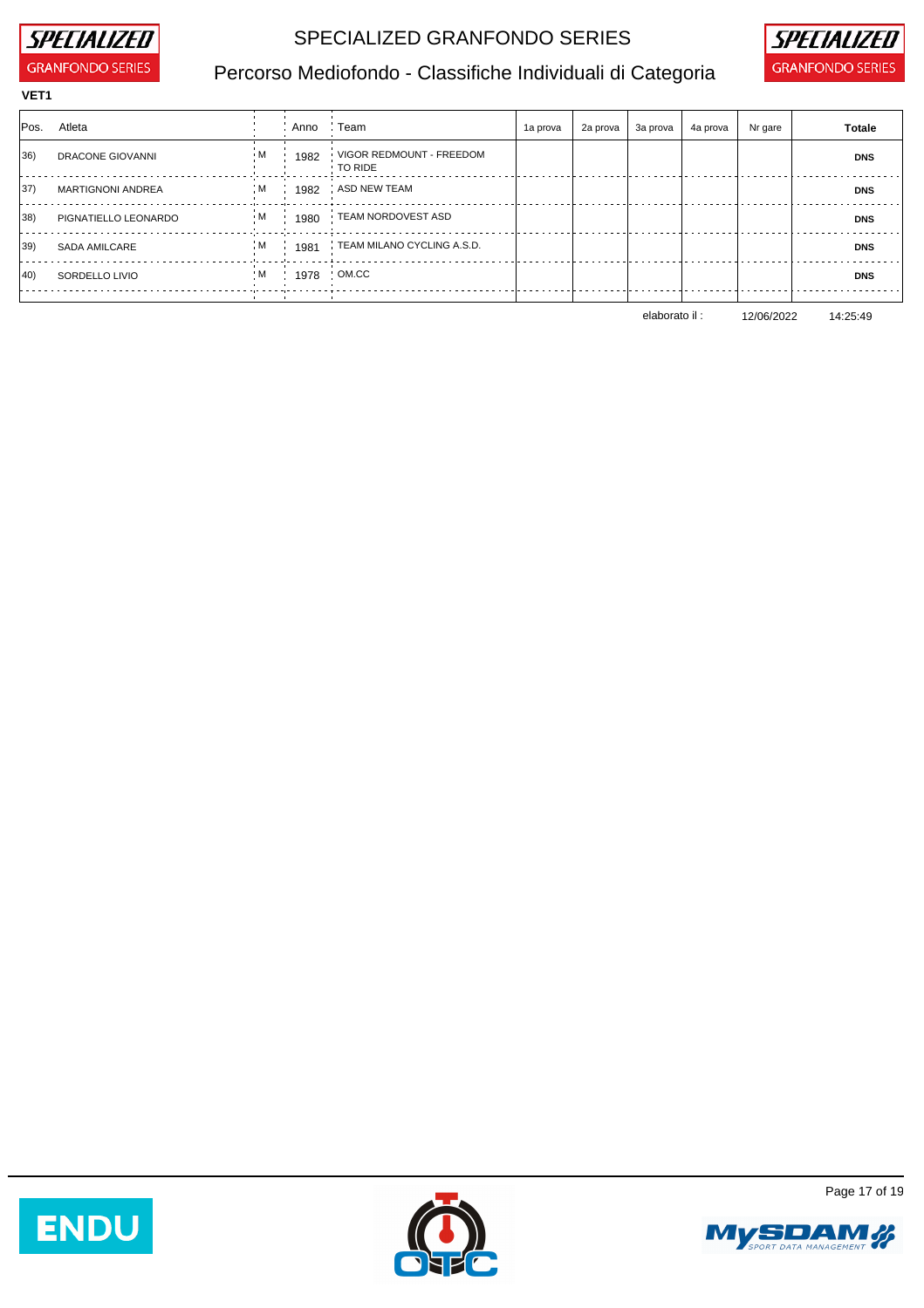

**VET1**

#### SPECIALIZED GRANFONDO SERIES **SPECIALIZED**



# Percorso Mediofondo - Classifiche Individuali di Categoria **GRANFONDO SERIES**

| Pos.         | Atleta                   |    | Anno         | ∴ Team                                      | 1a prova | 2a prova | 3a prova | 4a prova | Nr gare | <b>Totale</b> |
|--------------|--------------------------|----|--------------|---------------------------------------------|----------|----------|----------|----------|---------|---------------|
| 36)          | <b>DRACONE GIOVANNI</b>  | ۰M | 1982         | VIGOR REDMOUNT - FREEDOM<br>$\cdot$ TO RIDE |          |          |          |          |         | <b>DNS</b>    |
| $ 37\rangle$ | <b>MARTIGNONI ANDREA</b> | ÷М |              | 1982 ASD NEW TEAM                           |          |          |          |          |         | <b>DNS</b>    |
| 38)          | PIGNATIELLO LEONARDO     | ÷М |              | 1980 TEAM NORDOVEST ASD                     |          |          |          |          |         | <b>DNS</b>    |
| 39)          | <b>SADA AMILCARE</b>     | ÷м | 1981         | TEAM MILANO CYCLING A.S.D.                  |          |          |          |          |         | <b>DNS</b>    |
| $ 40\rangle$ | SORDELLO LIVIO           | ∴M | : 1978 OM.CC |                                             |          |          |          |          |         | <b>DNS</b>    |
|              |                          |    |              |                                             |          |          |          |          |         |               |

elaborato il : 12/06/2022 14:25:49







Page 17 of 19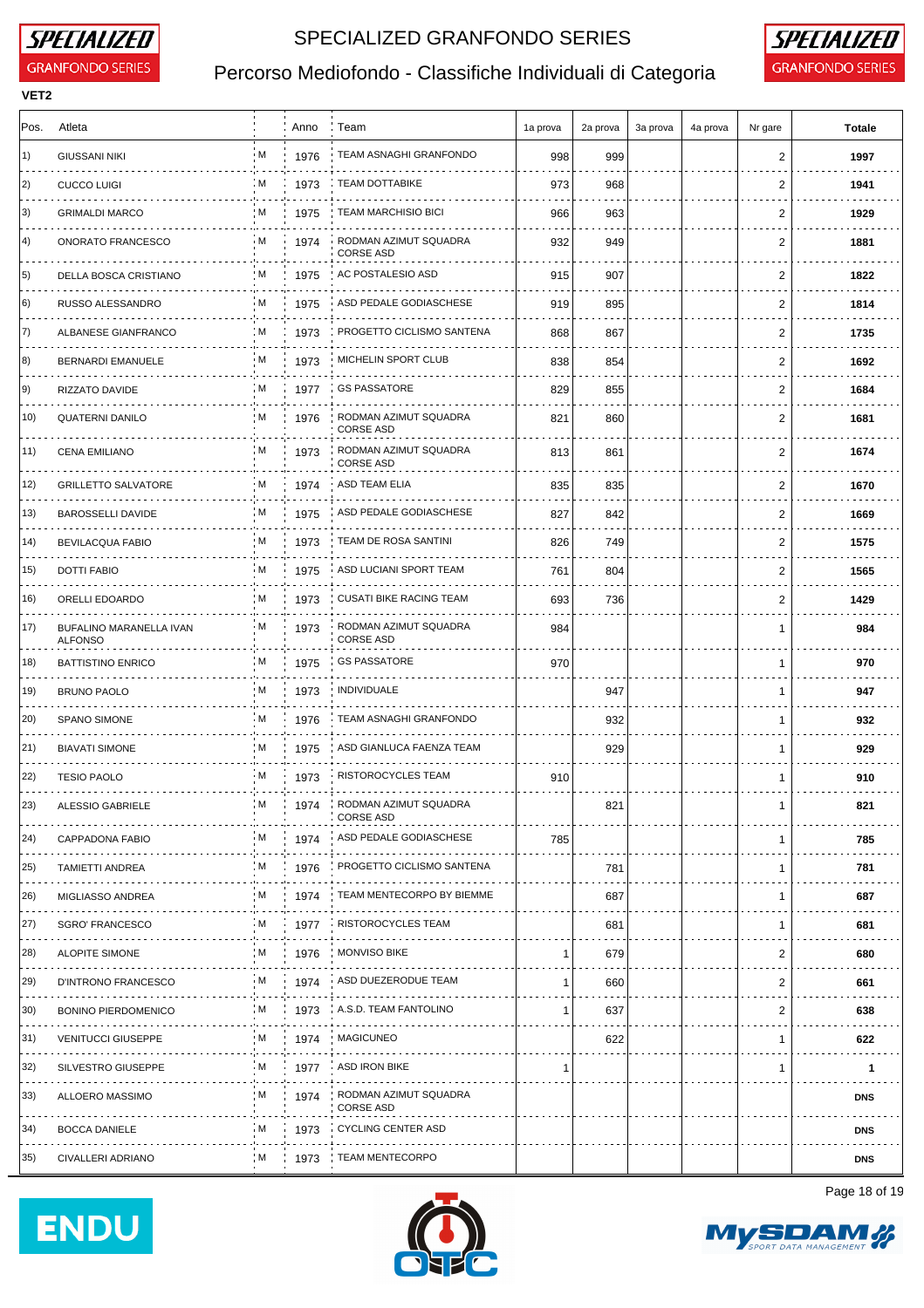

**VET2**

## SPECIALIZED GRANFONDO SERIES **SPECIALIZED**



# Percorso Mediofondo - Classifiche Individuali di Categoria **GRANFONDO SERIES**

| Pos. | Atleta                                    |     | Anno | : Team                                         | 1a prova | 2a prova | 3a prova | 4a prova | Nr gare                 | <b>Totale</b> |
|------|-------------------------------------------|-----|------|------------------------------------------------|----------|----------|----------|----------|-------------------------|---------------|
| 1)   | <b>GIUSSANI NIKI</b>                      | ۰M  | 1976 | <b>TEAM ASNAGHI GRANFONDO</b>                  | 998      | 999      |          |          | $\overline{2}$          | 1997          |
| 2)   | <b>CUCCO LUIGI</b>                        | : M | 1973 | TEAM DOTTABIKE                                 | 973      | 968      |          |          | $\overline{\mathbf{c}}$ | 1941          |
| 3)   | <b>GRIMALDI MARCO</b>                     | : M | 1975 | <b>TEAM MARCHISIO BICI</b>                     | 966      | 963      |          |          | $\overline{\mathbf{c}}$ | 1929          |
| 4)   | ONORATO FRANCESCO                         | ۰M  | 1974 | RODMAN AZIMUT SQUADRA<br><b>CORSE ASD</b>      | 932      | 949      |          |          | $\overline{2}$          | 1881          |
| 5)   | DELLA BOSCA CRISTIANO                     | M   | 1975 | AC POSTALESIO ASD                              | 915      | 907      |          |          | $\overline{\mathbf{c}}$ | 1822          |
| 6)   | RUSSO ALESSANDRO                          | ۰M  | 1975 | ASD PEDALE GODIASCHESE                         | 919      | 895      |          |          | $\overline{\mathbf{c}}$ | 1814          |
| 7)   | ALBANESE GIANFRANCO<br>.                  | ; M | 1973 | PROGETTO CICLISMO SANTENA                      | 868      | 867      |          |          | $\overline{2}$          | 1735          |
| 8)   | BERNARDI EMANUELE                         | ۰M  | 1973 | MICHELIN SPORT CLUB                            | 838      | 854      |          |          | $\overline{2}$          | 1692          |
| 9)   | RIZZATO DAVIDE                            | : M | 1977 | <b>GS PASSATORE</b>                            | 829      | 855      |          |          | $\overline{\mathbf{c}}$ | 1684          |
| 10)  | <b>QUATERNI DANILO</b>                    | : M | 1976 | RODMAN AZIMUT SQUADRA<br><b>CORSE ASD</b>      | 821      | 860      |          |          | $\overline{2}$          | 1681          |
| 11)  | <b>CENA EMILIANO</b>                      | : M | 1973 | : RODMAN AZIMUT SQUADRA<br><b>CORSE ASD</b>    | 813      | 861      |          |          | $\overline{\mathbf{c}}$ | 1674          |
| 12)  | <b>GRILLETTO SALVATORE</b>                | ۰M  | 1974 | ASD TEAM ELIA                                  | 835      | 835      |          |          | $\sqrt{2}$              | 1670          |
| 13)  | .<br><b>BAROSSELLI DAVIDE</b>             | : M | 1975 | ASD PEDALE GODIASCHESE                         | 827      | 842      |          |          | $\overline{\mathbf{c}}$ | 1669          |
| 14)  | .<br><b>BEVILACQUA FABIO</b>              | : M | 1973 | TEAM DE ROSA SANTINI                           | 826      | 749      |          |          | $\overline{2}$          | 1575          |
| 15)  | <b>DOTTI FABIO</b>                        | . M | 1975 | ASD LUCIANI SPORT TEAM                         | 761      | 804      |          |          | $\overline{\mathbf{c}}$ | 1565          |
| 16)  | ORELLI EDOARDO                            | ; M | 1973 | <b>CUSATI BIKE RACING TEAM</b>                 | 693      | 736      |          |          | $\sqrt{2}$              | 1429          |
| 17)  | BUFALINO MARANELLA IVAN<br><b>ALFONSO</b> | M   | 1973 | RODMAN AZIMUT SQUADRA<br><b>CORSE ASD</b>      | 984      |          |          |          | 1                       | 984           |
| 18)  | <b>BATTISTINO ENRICO</b>                  | : M | 1975 | <b>GS PASSATORE</b>                            | 970      |          |          |          | 1                       | 970           |
| 19)  | <b>BRUNO PAOLO</b>                        | : M | 1973 | <b>INDIVIDUALE</b>                             |          | 947      |          |          | $\mathbf{1}$            | 947           |
| 20)  | <b>SPANO SIMONE</b>                       | . M | 1976 | TEAM ASNAGHI GRANFONDO                         |          | 932      |          |          | $\mathbf{1}$            | 932           |
| 21)  | <b>BIAVATI SIMONE</b>                     | ; M | 1975 | ASD GIANLUCA FAENZA TEAM                       |          | 929      |          |          | 1                       | 929           |
| 22)  | <b>TESIO PAOLO</b>                        | M   | 1973 | RISTOROCYCLES TEAM                             | 910      |          |          |          | 1                       | 910           |
| 23)  | ALESSIO GABRIELE                          | M   |      | 1974 RODMAN AZIMUT SQUADRA<br><b>CORSE ASD</b> |          | 821      |          |          |                         | 821           |
| 24)  | CAPPADONA FABIO                           | ۰M  | 1974 | ASD PEDALE GODIASCHESE                         | 785      |          |          |          | 1                       | 785           |
| 25)  | TAMIETTI ANDREA                           | : M | 1976 | PROGETTO CICLISMO SANTENA                      |          | 781      |          |          | 1                       | 781           |
| 26)  | MIGLIASSO ANDREA<br>.                     | : M | 1974 | TEAM MENTECORPO BY BIEMME                      |          | 687      |          |          | 1                       | 687           |
| 27)  | <b>SGRO' FRANCESCO</b>                    | . M | 1977 | RISTOROCYCLES TEAM                             |          | 681      |          |          | 1                       | 681           |
| 28)  | <b>ALOPITE SIMONE</b>                     | ; M | 1976 | <b>MONVISO BIKE</b>                            | -1       | 679      |          |          | $\overline{\mathbf{c}}$ | 680           |
| 29)  | D'INTRONO FRANCESCO                       | M   | 1974 | ASD DUEZERODUE TEAM                            | -1       | 660      |          |          | $\overline{\mathbf{c}}$ | 661           |
| 30)  | <b>BONINO PIERDOMENICO</b>                | : M | 1973 | A.S.D. TEAM FANTOLINO                          | -1       | 637      |          |          | $\overline{\mathbf{c}}$ | 638           |
| 31)  | <b>VENITUCCI GIUSEPPE</b>                 | : M | 1974 | <b>MAGICUNEO</b>                               |          | 622      |          |          | 1                       | 622           |
| 32)  | SILVESTRO GIUSEPPE                        | . M | 1977 | ASD IRON BIKE                                  | 1        |          |          |          | 1                       | 1             |
| 33)  | ALLOERO MASSIMO                           | ; M | 1974 | RODMAN AZIMUT SQUADRA<br><b>CORSE ASD</b>      |          |          |          |          |                         | <b>DNS</b>    |
| 34)  | .<br><b>BOCCA DANIELE</b>                 | . M | 1973 | <b>CYCLING CENTER ASD</b>                      |          |          |          |          |                         | <b>DNS</b>    |
| 35)  | CIVALLERI ADRIANO                         | ; M | 1973 | TEAM MENTECORPO                                |          |          |          |          |                         | <b>DNS</b>    |

**ENDU** 





Page 18 of 19